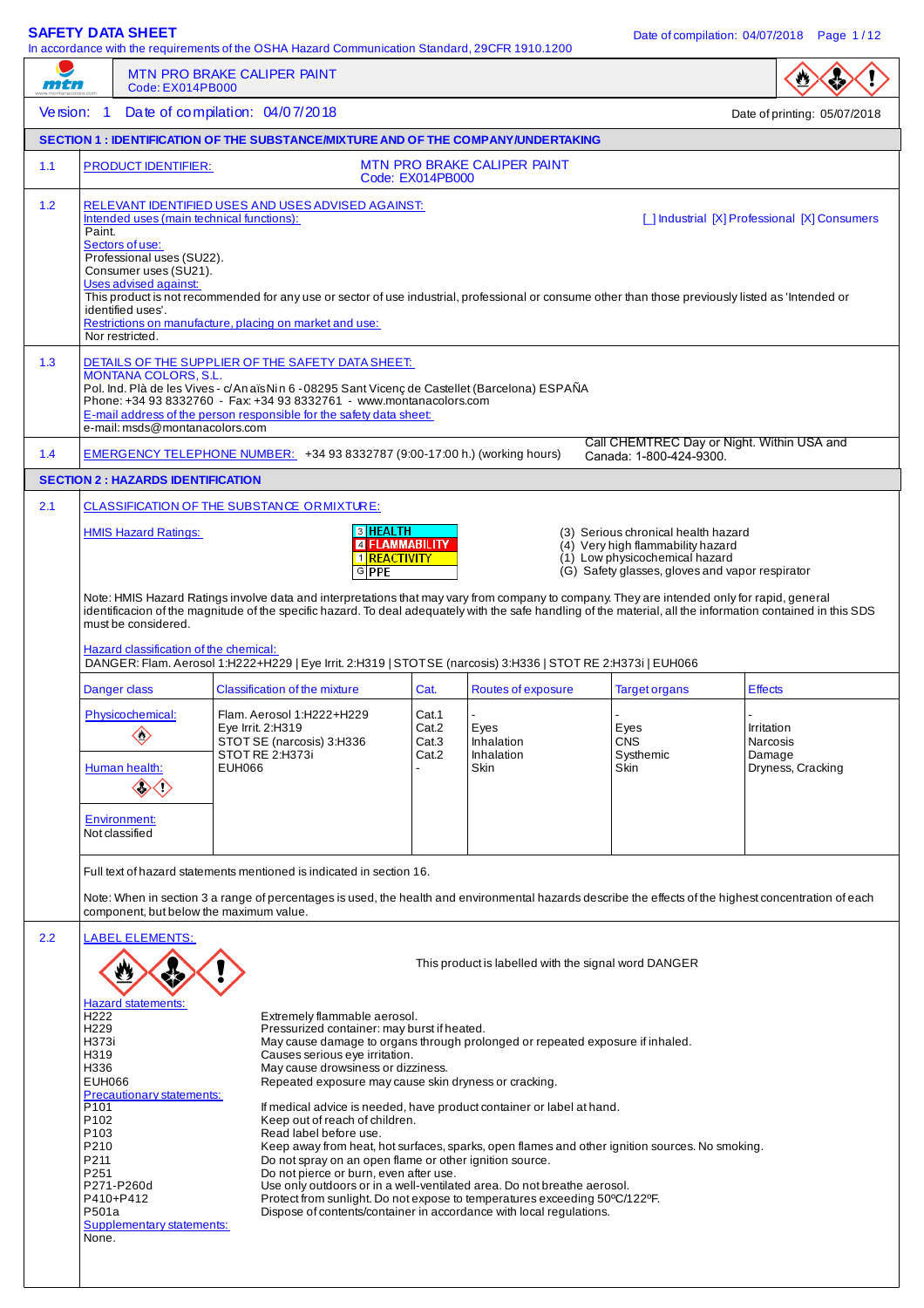| <i><b>FIFTI</b></i> |                                                                                                                                                  | Code: EX014PB000                                                                                                                                                                    | <b>MTN PRO BRAKE CALIPER PAINT</b>                                                                                                                                                                                                                                                                                                                                                                                                                                       |                                                                     |                                                                                                                                                                                                                                                                                                                                                                                        |                                                                                                                                                               |                                                       |
|---------------------|--------------------------------------------------------------------------------------------------------------------------------------------------|-------------------------------------------------------------------------------------------------------------------------------------------------------------------------------------|--------------------------------------------------------------------------------------------------------------------------------------------------------------------------------------------------------------------------------------------------------------------------------------------------------------------------------------------------------------------------------------------------------------------------------------------------------------------------|---------------------------------------------------------------------|----------------------------------------------------------------------------------------------------------------------------------------------------------------------------------------------------------------------------------------------------------------------------------------------------------------------------------------------------------------------------------------|---------------------------------------------------------------------------------------------------------------------------------------------------------------|-------------------------------------------------------|
| Version: 1          |                                                                                                                                                  |                                                                                                                                                                                     | Date of compilation: 04/07/2018                                                                                                                                                                                                                                                                                                                                                                                                                                          |                                                                     |                                                                                                                                                                                                                                                                                                                                                                                        |                                                                                                                                                               | Date of printing: 05/07/2018                          |
|                     |                                                                                                                                                  |                                                                                                                                                                                     | <b>SECTION 1: IDENTIFICATION OF THE SUBSTANCE/MIXTURE AND OF THE COMPANY/UNDERTAKING</b>                                                                                                                                                                                                                                                                                                                                                                                 |                                                                     |                                                                                                                                                                                                                                                                                                                                                                                        |                                                                                                                                                               |                                                       |
| 1.1                 |                                                                                                                                                  | <b>PRODUCT IDENTIFIER:</b>                                                                                                                                                          |                                                                                                                                                                                                                                                                                                                                                                                                                                                                          | Code: EX014PB000                                                    | <b>MTN PRO BRAKE CALIPER PAINT</b>                                                                                                                                                                                                                                                                                                                                                     |                                                                                                                                                               |                                                       |
| 1.2                 | Paint.                                                                                                                                           | Intended uses (main technical functions):<br>Sectors of use:<br>Professional uses (SU22).<br>Consumer uses (SU21).<br>Uses advised against:<br>identified uses'.<br>Nor restricted. | RELEVANT IDENTIFIED USES AND USES ADVISED AGAINST:<br>This product is not recommended for any use or sector of use industrial, professional or consume other than those previously listed as 'Intended or<br>Restrictions on manufacture, placing on market and use:                                                                                                                                                                                                     |                                                                     |                                                                                                                                                                                                                                                                                                                                                                                        |                                                                                                                                                               | [ ] Industrial [X] Professional [X] Consumers         |
| 1.3                 |                                                                                                                                                  | <b>MONTANA COLORS. S.L.</b><br>e-mail: msds@montanacolors.com                                                                                                                       | DETAILS OF THE SUPPLIER OF THE SAFETY DATA SHEET:<br>Pol. Ind. Plà de les Vives - c/An aïs Nin 6 - 08295 Sant Vicenç de Castellet (Barcelona) ESPAÑA<br>Phone: +34 93 8332760 - Fax: +34 93 8332761 - www.montanacolors.com<br>E-mail address of the person responsible for the safety data sheet:                                                                                                                                                                       |                                                                     |                                                                                                                                                                                                                                                                                                                                                                                        | Call CHEMTREC Day or Night. Within USA and                                                                                                                    |                                                       |
| 1.4                 |                                                                                                                                                  |                                                                                                                                                                                     | EMERGENCY TELEPHONE NUMBER: +34 93 8332787 (9:00-17:00 h.) (working hours)                                                                                                                                                                                                                                                                                                                                                                                               |                                                                     |                                                                                                                                                                                                                                                                                                                                                                                        | Canada: 1-800-424-9300                                                                                                                                        |                                                       |
|                     |                                                                                                                                                  | <b>SECTION 2: HAZARDS IDENTIFICATION</b>                                                                                                                                            |                                                                                                                                                                                                                                                                                                                                                                                                                                                                          |                                                                     |                                                                                                                                                                                                                                                                                                                                                                                        |                                                                                                                                                               |                                                       |
| 2.1                 |                                                                                                                                                  | <b>HMIS Hazard Ratings:</b><br>must be considered.<br>Hazard classification of the chemical:                                                                                        | CLASSIFICATION OF THE SUBSTANCE ORMIXTURE:<br>Note: HMIS Hazard Ratings involve data and interpretations that may vary from company to company. They are intended only for rapid, general<br>identificacion of the magnitude of the specific hazard. To deal adequately with the safe handling of the material, all the information contained in this SDS<br>DANGER: Flam. Aerosol 1:H222+H229   Eye Irrit. 2:H319   STOTSE (narcosis) 3:H336   STOT RE 2:H373i   EUH066 | <b>3 HEALTH</b><br><b>E FLAMMABILITY</b><br>1 REACTIVITY<br>$G$ PPE |                                                                                                                                                                                                                                                                                                                                                                                        | (3) Serious chronical health hazard<br>(4) Very high flammability hazard<br>(1) Low physicochemical hazard<br>(G) Safety glasses, gloves and vapor respirator |                                                       |
|                     |                                                                                                                                                  | Danger class                                                                                                                                                                        | <b>Classification of the mixture</b>                                                                                                                                                                                                                                                                                                                                                                                                                                     | Cat.                                                                | Routes of exposure                                                                                                                                                                                                                                                                                                                                                                     |                                                                                                                                                               | <b>Effects</b>                                        |
|                     |                                                                                                                                                  | Physicochemical:<br>$\Diamond$<br>Human health:<br><b>Environment:</b><br>Not classified                                                                                            | Flam. Aerosol 1:H222+H229<br>Eye Irrit. 2:H319<br>STOT SE (narcosis) 3:H336<br>STOT RE 2:H373i<br>EUH066                                                                                                                                                                                                                                                                                                                                                                 | Cat.1<br>Cat.2<br>Cat.3<br>Cat.2                                    | Eyes<br>Inhalation<br>Inhalation<br>Skin                                                                                                                                                                                                                                                                                                                                               | <b>Target organs</b><br>Eyes<br><b>CNS</b><br>Systhemic<br>Skin                                                                                               | Irritation<br>Narcosis<br>Damage<br>Dryness, Cracking |
|                     |                                                                                                                                                  |                                                                                                                                                                                     | Full text of hazard statements mentioned is indicated in section 16.<br>Note: When in section 3 a range of percentages is used, the health and environmental hazards describe the effects of the highest concentration of each<br>component, but below the maximum value.                                                                                                                                                                                                |                                                                     |                                                                                                                                                                                                                                                                                                                                                                                        |                                                                                                                                                               |                                                       |
| 2.2                 | H222<br>H <sub>229</sub><br>H373i<br>H319<br>H336<br><b>EUH066</b><br>P101<br>P102<br>P <sub>103</sub><br>P210<br>P211<br>P251<br>P501a<br>None. | <b>LABEL ELEMENTS:</b><br><b>Hazard statements:</b><br>Precautionary statements:<br>P271-P260d<br>P410+P412<br><b>Supplementary statements:</b>                                     | Extremely flammable aerosol.<br>Pressurized container: may burst if heated.<br>Causes serious eye irritation.<br>May cause drowsiness or dizziness.<br>Repeated exposure may cause skin dryness or cracking.<br>Keep out of reach of children.<br>Read label before use.<br>Do not spray on an open flame or other ignition source.<br>Do not pierce or burn, even after use.                                                                                            |                                                                     | May cause damage to organs through prolonged or repeated exposure if inhaled.<br>If medical advice is needed, have product container or label at hand.<br>Use only outdoors or in a well-ventilated area. Do not breathe aerosol.<br>Protect from sunlight. Do not expose to temperatures exceeding 50°C/122°F.<br>Dispose of contents/container in accordance with local regulations. | This product is labelled with the signal word DANGER<br>Keep away from heat, hot surfaces, sparks, open flames and other ignition sources. No smoking.        |                                                       |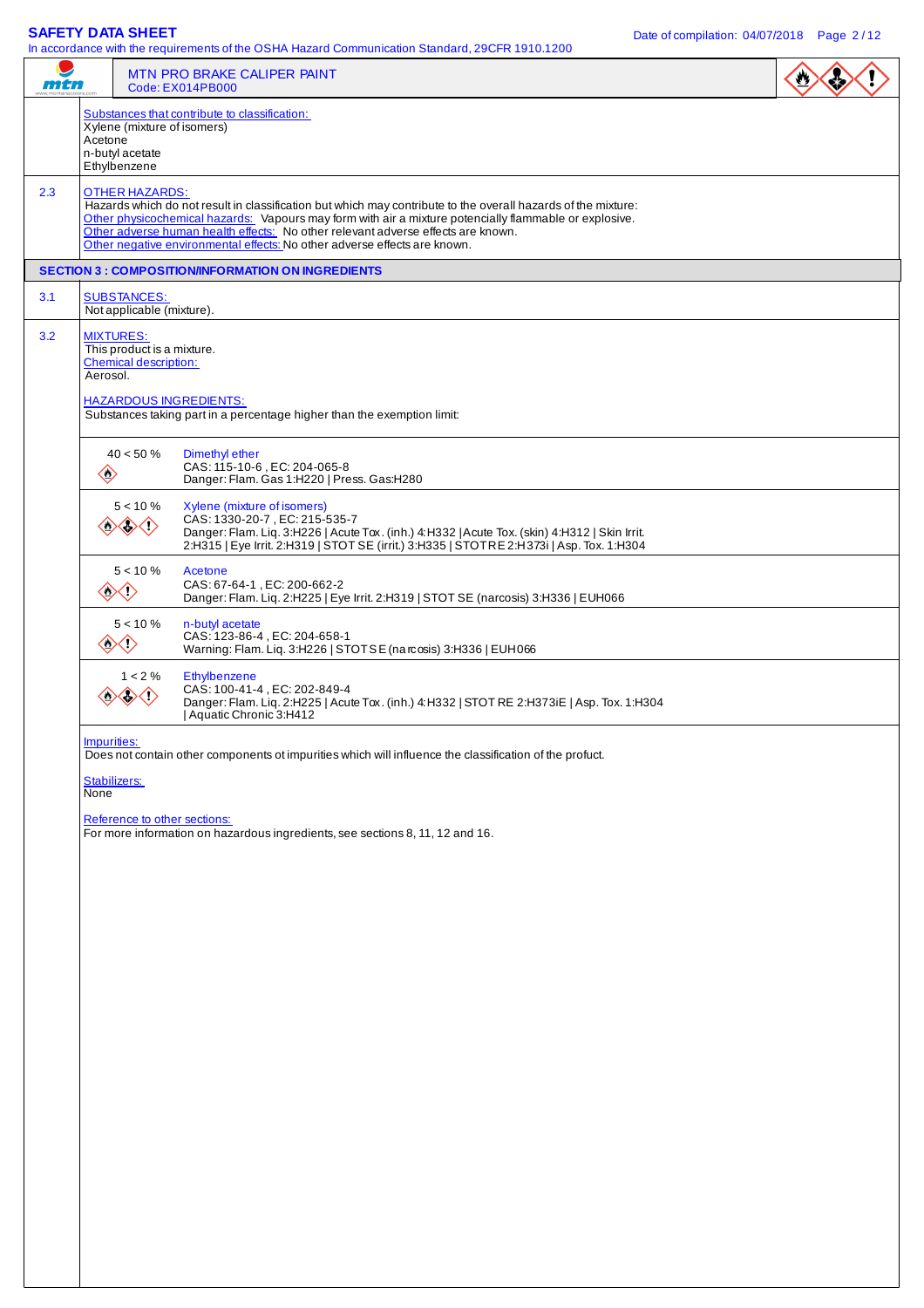$\frac{1}{10}$  act the OSHA Hazard Communication Standard, 29CFR 1910.12000

| mtn |                                                                                            | in accordance with the requirements of the OSHA Hazard Communication Standard, 29CFN 1910.1200<br>MTN PRO BRAKE CALIPER PAINT<br>Code: EX014PB000                                                                                                                                                                                                                                        | $\sum_{i=1}^{n}$ |
|-----|--------------------------------------------------------------------------------------------|------------------------------------------------------------------------------------------------------------------------------------------------------------------------------------------------------------------------------------------------------------------------------------------------------------------------------------------------------------------------------------------|------------------|
|     | Xylene (mixture of isomers)<br>Acetone<br>n-butyl acetate<br>Ethylbenzene                  | Substances that contribute to classification:                                                                                                                                                                                                                                                                                                                                            |                  |
| 2.3 | <b>OTHER HAZARDS:</b>                                                                      | Hazards which do not result in classification but which may contribute to the overall hazards of the mixture:<br>Other physicochemical hazards: Vapours may form with air a mixture potencially flammable or explosive.<br>Other adverse human health effects: No other relevant adverse effects are known.<br>Other negative environmental effects: No other adverse effects are known. |                  |
|     |                                                                                            | <b>SECTION 3 : COMPOSITION/INFORMATION ON INGREDIENTS</b>                                                                                                                                                                                                                                                                                                                                |                  |
| 3.1 | <b>SUBSTANCES:</b><br>Not applicable (mixture).                                            |                                                                                                                                                                                                                                                                                                                                                                                          |                  |
| 3.2 | <b>MIXTURES:</b><br>This product is a mixture.<br><b>Chemical description:</b><br>Aerosol. | <b>HAZARDOUS INGREDIENTS:</b><br>Substances taking part in a percentage higher than the exemption limit:                                                                                                                                                                                                                                                                                 |                  |
|     | $40 < 50 \%$<br>$\begin{array}{c}\n\diamond \\ \diamond \\ \diamond\n\end{array}$          | Dimethyl ether<br>CAS: 115-10-6, EC: 204-065-8<br>Danger: Flam. Gas 1:H220   Press. Gas:H280                                                                                                                                                                                                                                                                                             |                  |
|     | $5 < 10 \%$<br>$\diamondsuit$                                                              | Xylene (mixture of isomers)<br>CAS: 1330-20-7, EC: 215-535-7<br>Danger: Flam. Liq. 3:H226   Acute Tox. (inh.) 4:H332   Acute Tox. (skin) 4:H312   Skin Irrit.<br>2:H315   Eye Irrit. 2:H319   STOT SE (irrit.) 3:H335   STOT RE 2:H373i   Asp. Tox. 1:H304                                                                                                                               |                  |
|     | $5 < 10 \%$<br>◇◇                                                                          | Acetone<br>CAS: 67-64-1, EC: 200-662-2<br>Danger: Flam. Liq. 2:H225   Eye Irrit. 2:H319   STOT SE (narcosis) 3:H336   EUH066                                                                                                                                                                                                                                                             |                  |
|     | $5 < 10 \%$<br>$\langle \rangle$<br>$\Leftrightarrow$                                      | n-butyl acetate<br>CAS: 123-86-4, EC: 204-658-1<br>Warning: Flam. Liq. 3:H226   STOTSE (na rcosis) 3:H336   EUH066                                                                                                                                                                                                                                                                       |                  |
|     | $1 < 2 \%$<br>≫⇔                                                                           | Ethylbenzene<br>CAS: 100-41-4, EC: 202-849-4<br>Danger: Flam. Liq. 2:H225   Acute Tox. (inh.) 4: H332   STOT RE 2:H373iE   Asp. Tox. 1:H304<br>Aquatic Chronic 3:H412                                                                                                                                                                                                                    |                  |
|     | Impurities:                                                                                | Does not contain other components ot impurities which will influence the classification of the profuct.                                                                                                                                                                                                                                                                                  |                  |
|     | Stabilizers:<br>None                                                                       |                                                                                                                                                                                                                                                                                                                                                                                          |                  |
|     |                                                                                            | Reference to other sections:<br>For more information on hazardous ingredients, see sections 8, 11, 12 and 16.                                                                                                                                                                                                                                                                            |                  |
|     |                                                                                            |                                                                                                                                                                                                                                                                                                                                                                                          |                  |
|     |                                                                                            |                                                                                                                                                                                                                                                                                                                                                                                          |                  |
|     |                                                                                            |                                                                                                                                                                                                                                                                                                                                                                                          |                  |
|     |                                                                                            |                                                                                                                                                                                                                                                                                                                                                                                          |                  |
|     |                                                                                            |                                                                                                                                                                                                                                                                                                                                                                                          |                  |
|     |                                                                                            |                                                                                                                                                                                                                                                                                                                                                                                          |                  |
|     |                                                                                            |                                                                                                                                                                                                                                                                                                                                                                                          |                  |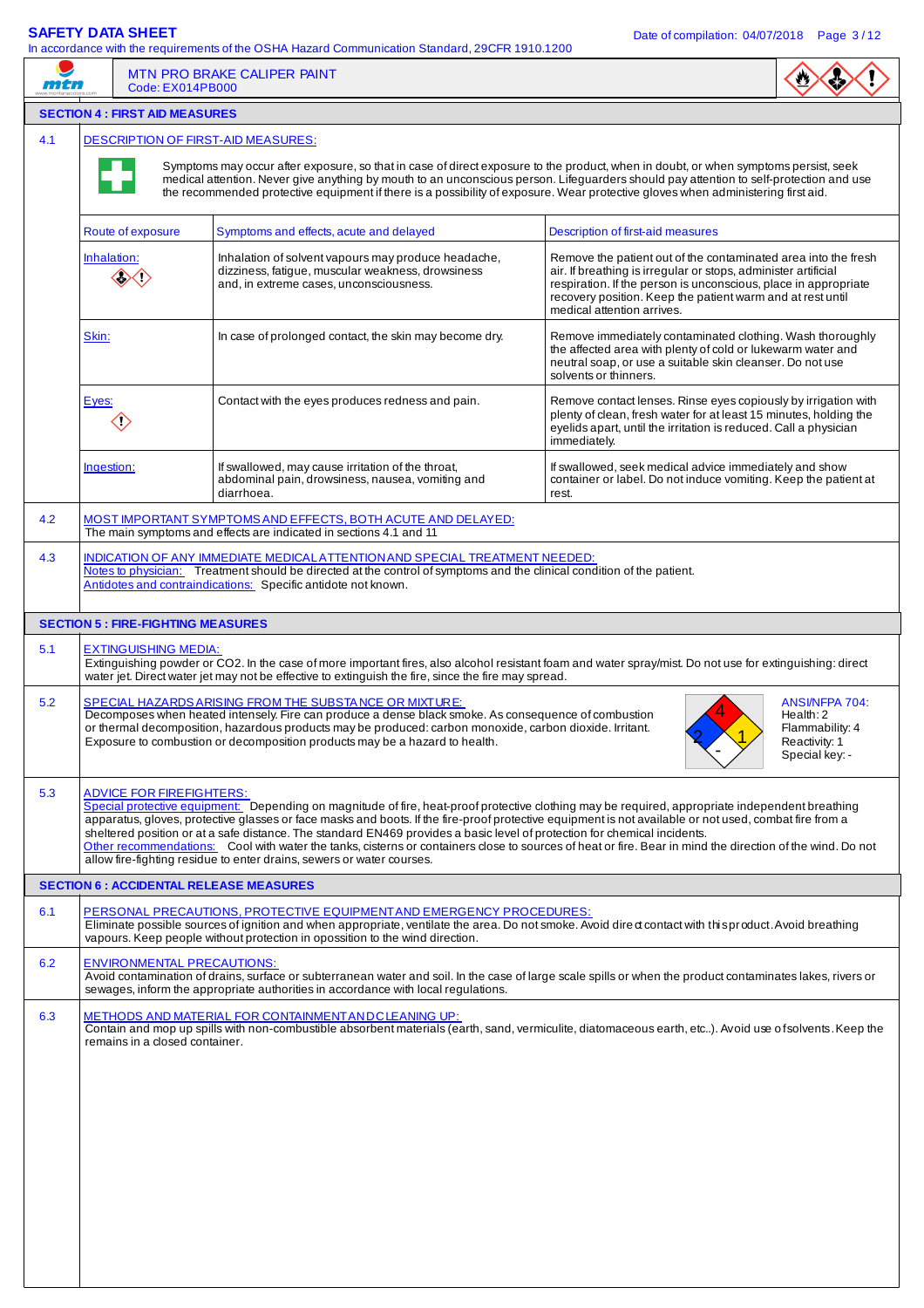mtn

In accordance with the requirements of the OSHA Hazard Communication Standard, 29CFR 1910.1200



 $\mathbf{w}$ 

### **SECTION 4 : FIRST AID MEASURES**  4.1 DESCRIPTION OF FIRST-AID MEASURES: Symptoms may occur after exposure, so that in case of direct exposure to the product, when in doubt, or when symptoms persist, seek medical attention. Never give anything by mouth to an unconscious person. Lifeguarders should pay attention to self-protection and use the recommended protective equipment if there is a possibility of exposure. Wear protective gloves when administering first aid. Route of exposure Symptoms and effects, acute and delayed Description of first-aid measures Inhalation: Inhalation of solvent vapours may produce headache, Remove the patient out of the contaminated area into the fresh dizziness, fatigue, muscular weakness, drowsiness air. If breathing is irregular or stops, administer artificial ◇◇◇ and, in extreme cases, unconsciousness. respiration. If the person is unconscious, place in appropriate recovery position. Keep the patient warm and at rest until medical attention arrives. Skin: In case of prolonged contact, the skin may become dry. Remove immediately contaminated clothing. Wash thoroughly the affected area with plenty of cold or lukewarm water and neutral soap, or use a suitable skin cleanser. Do not use solvents or thinners. Eyes: Contact with the eyes produces redness and pain. Remove contact lenses. Rinse eyes copiously by irrigation with plenty of clean, fresh water for at least 15 minutes, holding the  $\langle \rangle$ eyelids apart, until the irritation is reduced. Call a physician immediately. Ingestion: If swallowed, may cause irritation of the throat, If swallowed, seek medical advice immediately and show container or label. Do not induce vomiting. Keep the patient at abdominal pain, drowsiness, nausea, vomiting and diarrhoea. rest. 4.2 MOST IMPORTANT SYMPTOMS AND EFFECTS, BOTH ACUTE AND DELAYED: The main symptoms and effects are indicated in sections 4.1 and 11 4.3 INDICATION OF ANY IMMEDIATE MEDICAL ATTENTION AND SPECIAL TREATMENT NEEDED: Notes to physician: Treatment should be directed at the control of symptoms and the clinical condition of the patient. **Antidotes and contraindications:** Specific antidote not known. **SECTION 5 : FIRE-FIGHTING MEASURES** 5.1 EXTINGUISHING MEDIA: Extinguishing powder or CO2. In the case of more important fires, also alcohol resistant foam and water spray/mist. Do not use for extinguishing: direct water jet. Direct water jet may not be effective to extinguish the fire, since the fire may spread. 5.2 SPECIAL HAZARDS ARISING FROM THE SUBSTA NCE OR MIXTURE: ANSI/NFPA 704: 4 Decomposes when heated intensely. Fire can produce a dense black smoke. As consequence of combustion Health: 2 or thermal decomposition, hazardous products may be produced: carbon monoxide, carbon dioxide. Irritant. Flammability: 4 2 1 Exposure to combustion or decomposition products may be a hazard to health. Reactivity: 1 - Special key: -5.3 ADVICE FOR FIREFIGHTERS Special protective equipment: Depending on magnitude of fire, heat-proof protective clothing may be required, appropriate independent breathing apparatus, gloves, protective glasses or face masks and boots. If the fire-proof protective equipment is not available or not used, combat fire from a sheltered position or at a safe distance. The standard EN469 provides a basic level of protection for chemical incidents. Other recommendations: Cool with water the tanks, cisterns or containers close to sources of heat or fire. Bear in mind the direction of the wind. Do not allow fire-fighting residue to enter drains, sewers or water courses. **SECTION 6 : ACCIDENTAL RELEASE MEASURES** 6.1 PERSONAL PRECAUTIONS, PROTECTIVE EQUIPMENT AND EMERGENCY PROCEDURES: Eliminate possible sources of ignition and when appropriate, ventilate the area. Do not smoke. Avoid dire ct contact with this product. Avoid breathing vapours. Keep people without protection in opossition to the wind direction. 6.2 ENVIRONMENTAL PRECAUTIONS: Avoid contamination of drains, surface or subterranean water and soil. In the case of large scale spills or when the product contaminates lakes, rivers or sewages, inform the appropriate authorities in accordance with local regulations. 6.3 METHODS AND MATERIAL FOR CONTAINMENT AND CLEANING UP: Contain and mop up spills with non-combustible absorbent materials (earth, sand, vermiculite, diatomaceous earth, etc..). Avoid use of solvents. Keep the remains in a closed container.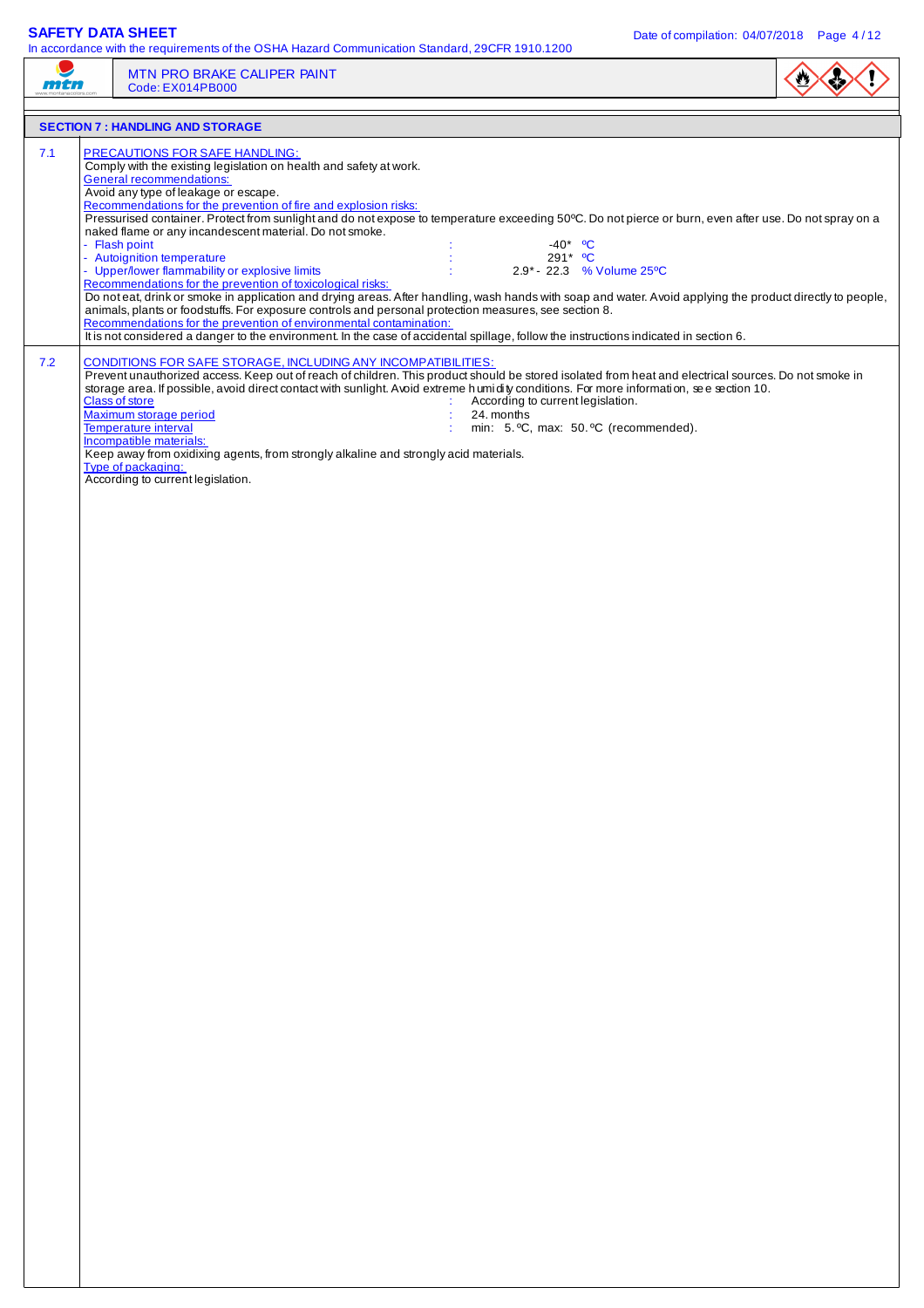$\mathbf{r}$ 

| man | MTN PRO BRAKE CALIPER PAINT<br>Code: EX014PB000                                                                                                                                                                                                                                                                                                                                                                                                                                                                                                                                                                                                                                                                                                                                                                                                                   |  |
|-----|-------------------------------------------------------------------------------------------------------------------------------------------------------------------------------------------------------------------------------------------------------------------------------------------------------------------------------------------------------------------------------------------------------------------------------------------------------------------------------------------------------------------------------------------------------------------------------------------------------------------------------------------------------------------------------------------------------------------------------------------------------------------------------------------------------------------------------------------------------------------|--|
|     | <b>SECTION 7: HANDLING AND STORAGE</b>                                                                                                                                                                                                                                                                                                                                                                                                                                                                                                                                                                                                                                                                                                                                                                                                                            |  |
| 7.1 | <b>PRECAUTIONS FOR SAFE HANDLING:</b><br>Comply with the existing legislation on health and safety at work.<br><b>General recommendations:</b><br>Avoid any type of leakage or escape.<br>Recommendations for the prevention of fire and explosion risks:<br>Pressurised container. Protect from sunlight and do not expose to temperature exceeding 50°C. Do not pierce or burn, even after use. Do not spray on a<br>naked flame or any incandescent material. Do not smoke.<br>- Flash point<br>$-40^*$ °C<br>- Autoignition temperature<br>291* °C<br>- Upper/lower flammability or explosive limits<br>2.9* - 22.3 % Volume 25°C<br>Recommendations for the prevention of toxicological risks:<br>Do not eat, drink or smoke in application and drying areas. After handling, wash hands with soap and water. Avoid applying the product directly to people, |  |
|     | animals, plants or foodstuffs. For exposure controls and personal protection measures, see section 8.<br>Recommendations for the prevention of environmental contamination:<br>It is not considered a danger to the environment. In the case of accidental spillage, follow the instructions indicated in section 6.                                                                                                                                                                                                                                                                                                                                                                                                                                                                                                                                              |  |
| 7.2 | CONDITIONS FOR SAFE STORAGE, INCLUDING ANY INCOMPATIBILITIES:<br>Prevent unauthorized access. Keep out of reach of children. This product should be stored isolated from heat and electrical sources. Do not smoke in<br>storage area. If possible, avoid direct contact with sunlight. Avoid extreme humidity conditions. For more information, see section 10.<br>Class of store<br>According to current legislation.<br>Maximum storage period<br>24. months<br><b>Temperature interval</b><br>min: 5. °C, max: 50. °C (recommended).<br>Incompatible materials:<br>Keep away from oxidixing agents, from strongly alkaline and strongly acid materials.<br>Type of packaging:<br>According to current legislation.                                                                                                                                            |  |
|     |                                                                                                                                                                                                                                                                                                                                                                                                                                                                                                                                                                                                                                                                                                                                                                                                                                                                   |  |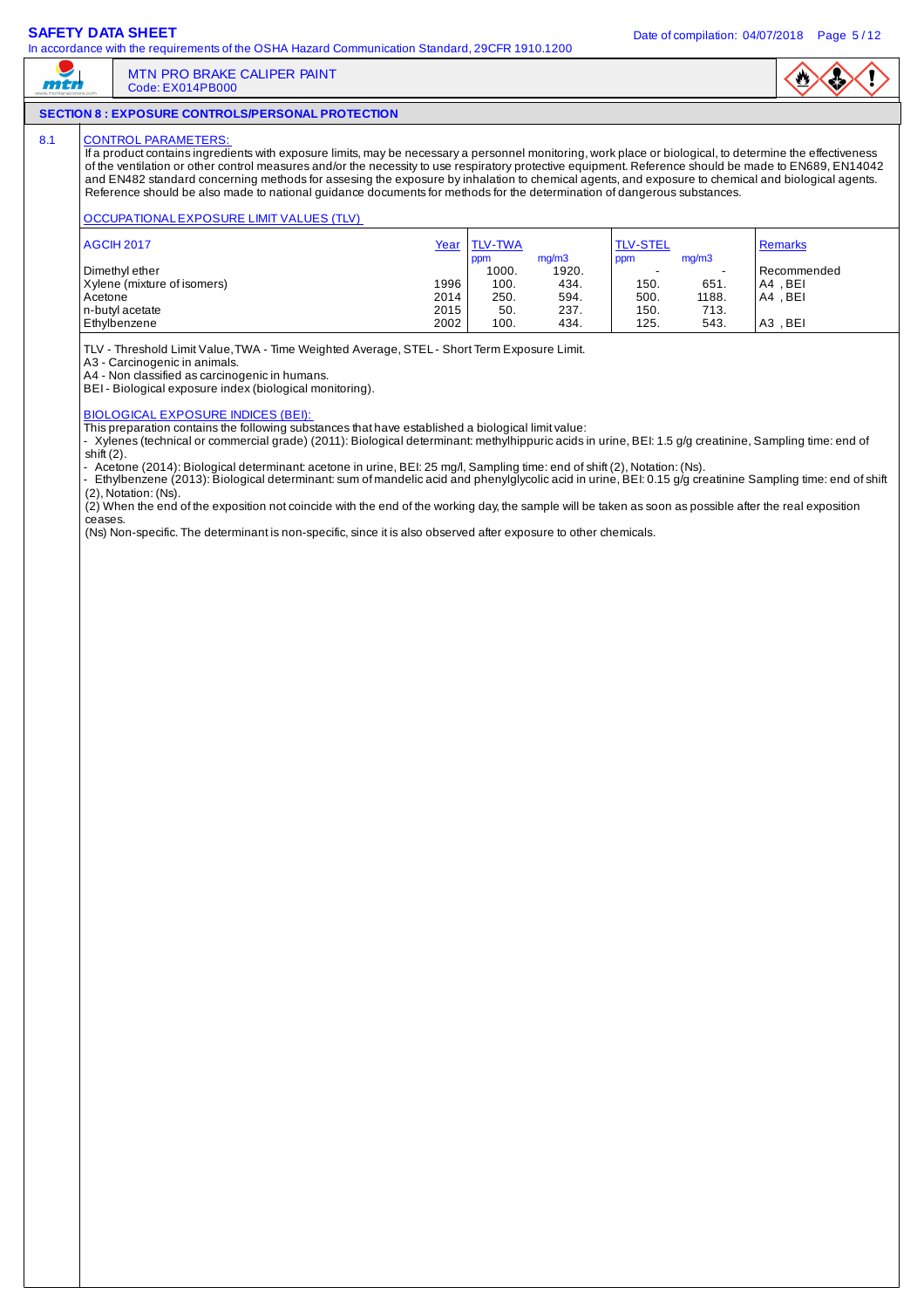$m<sub>th</sub>$ 

In accordance with the requirements of the OSHA Hazard Communication Standard, 29CFR 1910.1200

# $\mathbf{v}$

## **SECTION 8 : EXPOSURE CONTROLS/PERSONAL PROTECTION**

Code: EX014PB000

MTN PRO BRAKE CALIPER PAINT

### 8.1 CONTROL PARAMETERS

If a product contains ingredients with exposure limits, may be necessary a personnel monitoring, work place or biological, to determine the effectiveness of the ventilation or other control measures and/or the necessity to use respiratory protective equipment. Reference should be made to EN689, EN14042 and EN482 standard concerning methods for assesing the exposure by inhalation to chemical agents, and exposure to chemical and biological agents. Reference should be also made to national guidance documents for methods for the determination of dangerous substances.

### OCCUPATIONAL EXPOSURE LIMIT VALUES (TLV)

| <b>AGCIH 2017</b>           | <u>Year</u> | <b>TLV-TWA</b> |                | <b>TLV-STEL</b> |               | Remarks     |
|-----------------------------|-------------|----------------|----------------|-----------------|---------------|-------------|
| Dimethyl ether              |             | ppm<br>1000.   | mq/m3<br>1920. | ppm             | mq/m3<br>$\,$ | Recommended |
| Xylene (mixture of isomers) | 1996        | 100.           | 434.           | 150.            | 651.          | A4.BEI      |
| Acetone                     | 2014        | 250.           | 594.           | 500.            | 1188.         | A4.BEI      |
| n-butyl acetate             | 2015        | 50.            | 237.           | 150.            | 713.          |             |
| Ethylbenzene                | 2002        | 100.           | 434.           | 125.            | 543.          | A3, BEI     |

TLV - Threshold Limit Value, TWA - Time Weighted Average, STEL - Short Term Exposure Limit.

A3 - Carcinogenic in animals.

A4 - Non classified as carcinogenic in humans.

BEI - Biological exposure index (biological monitoring).

### BIOLOGICAL EXPOSURE INDICES (BEI):

This preparation contains the following substances that have established a biological limit value:

- Xylenes (technical or commercial grade) (2011): Biological determinant: methylhippuric acids in urine, BEI: 1.5 g/g creatinine, Sampling time: end of shift (2).

- Acetone (2014): Biological determinant: acetone in urine, BEI: 25 mg/l, Sampling time: end of shift (2), Notation: (Ns).

- Ethylbenzene (2013): Biological determinant: sum of mandelic acid and phenylglycolic acid in urine, BEI: 0.15 g/g creatinine Sampling time: end of shift (2), Notation: (Ns).

 $(2)$  When the end of the exposition not coincide with the end of the working day, the sample will be taken as soon as possible after the real exposition ceases.

(Ns) Non-specific. The determinant is non-specific, since it is also observed after exposure to other chemicals.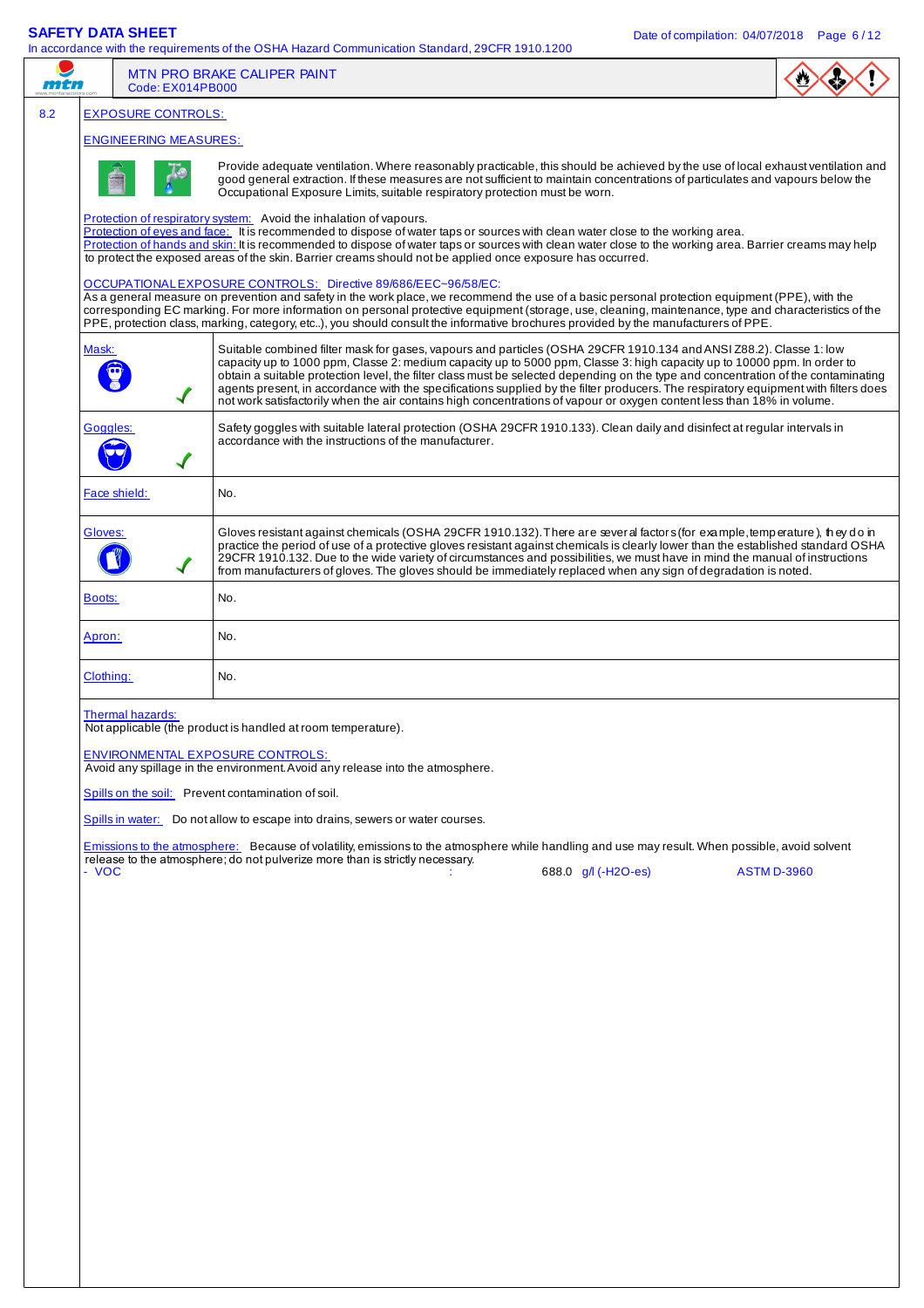| $\cdots$      | Code: EX014PB000             | <b>MTN PRO BRAKE CALIPER PAINT</b>                                                                                                                                                                                                                                                                                                                                                                                                                                                                                                                                                                                                                   |                     |                    |
|---------------|------------------------------|------------------------------------------------------------------------------------------------------------------------------------------------------------------------------------------------------------------------------------------------------------------------------------------------------------------------------------------------------------------------------------------------------------------------------------------------------------------------------------------------------------------------------------------------------------------------------------------------------------------------------------------------------|---------------------|--------------------|
|               | <b>EXPOSURE CONTROLS:</b>    |                                                                                                                                                                                                                                                                                                                                                                                                                                                                                                                                                                                                                                                      |                     |                    |
|               | <b>ENGINEERING MEASURES:</b> |                                                                                                                                                                                                                                                                                                                                                                                                                                                                                                                                                                                                                                                      |                     |                    |
|               |                              | Provide adequate ventilation. Where reasonably practicable, this should be achieved by the use of local exhaust ventilation and<br>good general extraction. If these measures are not sufficient to maintain concentrations of particulates and vapours below the<br>Occupational Exposure Limits, suitable respiratory protection must be worn.                                                                                                                                                                                                                                                                                                     |                     |                    |
|               |                              | Protection of respiratory system: Avoid the inhalation of vapours.<br>Protection of eyes and face: It is recommended to dispose of water taps or sources with clean water close to the working area.<br>Protection of hands and skin: It is recommended to dispose of water taps or sources with clean water close to the working area. Barrier creams may help<br>to protect the exposed areas of the skin. Barrier creams should not be applied once exposure has occurred.                                                                                                                                                                        |                     |                    |
|               |                              | OCCUPATIONAL EXPOSURE CONTROLS: Directive 89/686/EEC~96/58/EC:<br>As a general measure on prevention and safety in the work place, we recommend the use of a basic personal protection equipment (PPE), with the<br>corresponding EC marking. For more information on personal protective equipment (storage, use, cleaning, maintenance, type and characteristics of the<br>PPE, protection class, marking, category, etc), you should consult the informative brochures provided by the manufacturers of PPE.                                                                                                                                      |                     |                    |
| Mask:         |                              | Suitable combined filter mask for gases, vapours and particles (OSHA 29CFR 1910.134 and ANSI Z88.2). Classe 1: low<br>capacity up to 1000 ppm, Classe 2: medium capacity up to 5000 ppm, Classe 3: high capacity up to 10000 ppm. In order to<br>obtain a suitable protection level, the filter class must be selected depending on the type and concentration of the contaminating<br>agents present, in accordance with the specifications supplied by the filter producers. The respiratory equipment with filters does<br>not work satisfactorily when the air contains high concentrations of vapour or oxygen content less than 18% in volume. |                     |                    |
|               | Goggles:                     | Safety goggles with suitable lateral protection (OSHA 29CFR 1910.133). Clean daily and disinfect at regular intervals in<br>accordance with the instructions of the manufacturer.                                                                                                                                                                                                                                                                                                                                                                                                                                                                    |                     |                    |
|               | Face shield:                 | No.                                                                                                                                                                                                                                                                                                                                                                                                                                                                                                                                                                                                                                                  |                     |                    |
| Gloves:       |                              | Gloves resistant against chemicals (OSHA 29CFR 1910.132). There are sever al factors (for example, temperature), they do in<br>practice the period of use of a protective gloves resistant against chemicals is clearly lower than the established standard OSHA<br>29CFR 1910.132. Due to the wide variety of circumstances and possibilities, we must have in mind the manual of instructions<br>from manufacturers of gloves. The gloves should be immediately replaced when any sign of degradation is noted.                                                                                                                                    |                     |                    |
| <b>Boots:</b> |                              | No.                                                                                                                                                                                                                                                                                                                                                                                                                                                                                                                                                                                                                                                  |                     |                    |
| Apron:        |                              | No.                                                                                                                                                                                                                                                                                                                                                                                                                                                                                                                                                                                                                                                  |                     |                    |
|               | Clothing:                    | No.                                                                                                                                                                                                                                                                                                                                                                                                                                                                                                                                                                                                                                                  |                     |                    |
|               | Thermal hazards:             | Not applicable (the product is handled at room temperature).<br><b>ENVIRONMENTAL EXPOSURE CONTROLS:</b><br>Avoid any spillage in the environment. Avoid any release into the atmosphere.<br>Spills on the soil: Prevent contamination of soil.<br>Spills in water: Do not allow to escape into drains, sewers or water courses.                                                                                                                                                                                                                                                                                                                      |                     |                    |
|               |                              | Emissions to the atmosphere: Because of volatility, emissions to the atmosphere while handling and use may result. When possible, avoid solvent<br>release to the atmosphere; do not pulverize more than is strictly necessary.                                                                                                                                                                                                                                                                                                                                                                                                                      |                     |                    |
| - VOC         |                              |                                                                                                                                                                                                                                                                                                                                                                                                                                                                                                                                                                                                                                                      | 688.0 g/l (-H2O-es) | <b>ASTM D-3960</b> |
|               |                              |                                                                                                                                                                                                                                                                                                                                                                                                                                                                                                                                                                                                                                                      |                     |                    |
|               |                              |                                                                                                                                                                                                                                                                                                                                                                                                                                                                                                                                                                                                                                                      |                     |                    |
|               |                              |                                                                                                                                                                                                                                                                                                                                                                                                                                                                                                                                                                                                                                                      |                     |                    |
|               |                              |                                                                                                                                                                                                                                                                                                                                                                                                                                                                                                                                                                                                                                                      |                     |                    |
|               |                              |                                                                                                                                                                                                                                                                                                                                                                                                                                                                                                                                                                                                                                                      |                     |                    |
|               |                              |                                                                                                                                                                                                                                                                                                                                                                                                                                                                                                                                                                                                                                                      |                     |                    |
|               |                              |                                                                                                                                                                                                                                                                                                                                                                                                                                                                                                                                                                                                                                                      |                     |                    |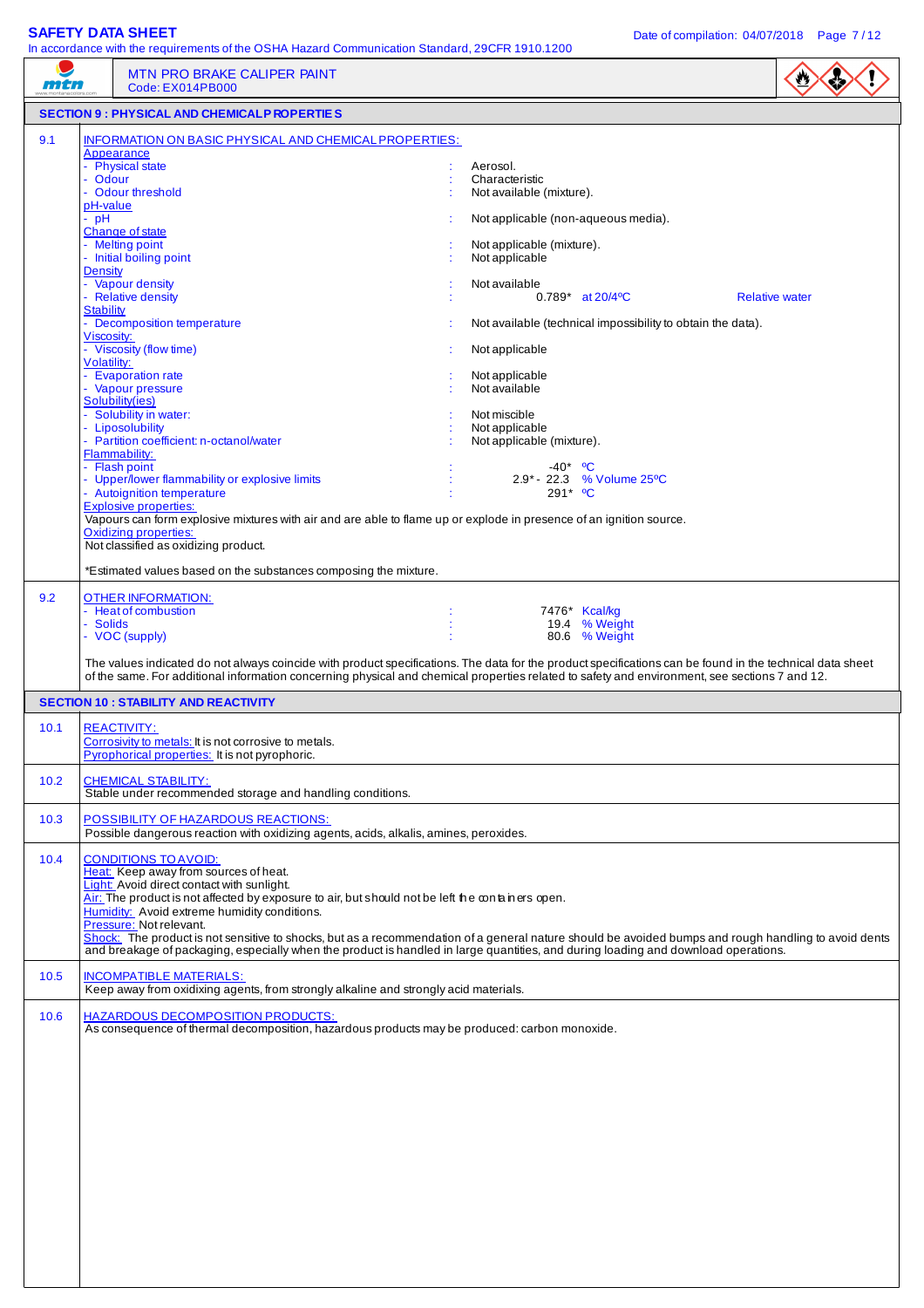| mtn  | In accordance with the requirements of the OSHA Hazard Communication Standard, 29CFR 1910.1200<br><b>MTN PRO BRAKE CALIPER PAINT</b><br>Code: EX014PB000                                                                                                                                                                                                                                                                                                                                                                                                                                                                                                                                                                                                                                                                                                                                      | $\bullet$                                                                                                                                                                                                                                                                                                                                                                                                                                                                    |
|------|-----------------------------------------------------------------------------------------------------------------------------------------------------------------------------------------------------------------------------------------------------------------------------------------------------------------------------------------------------------------------------------------------------------------------------------------------------------------------------------------------------------------------------------------------------------------------------------------------------------------------------------------------------------------------------------------------------------------------------------------------------------------------------------------------------------------------------------------------------------------------------------------------|------------------------------------------------------------------------------------------------------------------------------------------------------------------------------------------------------------------------------------------------------------------------------------------------------------------------------------------------------------------------------------------------------------------------------------------------------------------------------|
|      | <b>SECTION 9 : PHYSICAL AND CHEMICALP ROPERTIES</b>                                                                                                                                                                                                                                                                                                                                                                                                                                                                                                                                                                                                                                                                                                                                                                                                                                           |                                                                                                                                                                                                                                                                                                                                                                                                                                                                              |
| 9.1  | INFORMATION ON BASIC PHYSICAL AND CHEMICAL PROPERTIES:<br>Appearance<br>- Physical state<br>- Odour<br>- Odour threshold<br>pH-value<br>$-$ pH<br>Change of state<br>- Melting point<br>- Initial boiling point<br><b>Density</b><br>- Vapour density<br>- Relative density<br><b>Stability</b><br>Decomposition temperature<br>Viscosity:<br>- Viscosity (flow time)<br>Volatility:<br>- Evaporation rate<br>- Vapour pressure<br>Solubility(ies)<br>- Solubility in water:<br>- Liposolubility<br>- Partition coefficient: n-octanol/water<br>Flammability:<br>- Flash point<br>- Upper/lower flammability or explosive limits<br>- Autoignition temperature<br><b>Explosive properties:</b><br>Vapours can form explosive mixtures with air and are able to flame up or explode in presence of an ignition source.<br><b>Oxidizing properties:</b><br>Not classified as oxidizing product. | Aerosol.<br>Characteristic<br>Not available (mixture).<br>Not applicable (non-aqueous media).<br>Not applicable (mixture).<br>Not applicable<br>Not available<br>$0.789^*$ at $20/4^{\circ}$ C<br><b>Relative water</b><br>Not available (technical impossibility to obtain the data).<br>Not applicable<br>Not applicable<br>Not available<br>Not miscible<br>Not applicable<br>Not applicable (mixture).<br>$-40*$ °C<br>2.9* - 22.3 % Volume 25 °C<br>291* <sup>o</sup> C |
| 9.2  | *Estimated values based on the substances composing the mixture.<br>OTHER INFORMATION:<br>- Heat of combustion<br>- Solids<br>- VOC (supply)<br><b>SECTION 10 : STABILITY AND REACTIVITY</b>                                                                                                                                                                                                                                                                                                                                                                                                                                                                                                                                                                                                                                                                                                  | 7476* Kcal/kg<br>19.4 % Weight<br>80.6 % Weight<br>The values indicated do not always coincide with product specifications. The data for the product specifications can be found in the technical data sheet<br>of the same. For additional information concerning physical and chemical properties related to safety and environment, see sections 7 and 12.                                                                                                                |
| 10.1 | <b>REACTIVITY:</b><br>Corrosivity to metals: It is not corrosive to metals.<br>Pyrophorical properties: It is not pyrophoric.                                                                                                                                                                                                                                                                                                                                                                                                                                                                                                                                                                                                                                                                                                                                                                 |                                                                                                                                                                                                                                                                                                                                                                                                                                                                              |
| 10.2 | <b>CHEMICAL STABILITY:</b><br>Stable under recommended storage and handling conditions.                                                                                                                                                                                                                                                                                                                                                                                                                                                                                                                                                                                                                                                                                                                                                                                                       |                                                                                                                                                                                                                                                                                                                                                                                                                                                                              |
| 10.3 | POSSIBILITY OF HAZARDOUS REACTIONS:<br>Possible dangerous reaction with oxidizing agents, acids, alkalis, amines, peroxides.                                                                                                                                                                                                                                                                                                                                                                                                                                                                                                                                                                                                                                                                                                                                                                  |                                                                                                                                                                                                                                                                                                                                                                                                                                                                              |
| 10.4 | <b>CONDITIONS TO AVOID:</b><br>Heat: Keep away from sources of heat.<br>Light: Avoid direct contact with sunlight.<br>Air: The product is not affected by exposure to air, but should not be left the containers open.<br>Humidity: Avoid extreme humidity conditions.<br>Pressure: Not relevant.<br>and breakage of packaging, especially when the product is handled in large quantities, and during loading and download operations.                                                                                                                                                                                                                                                                                                                                                                                                                                                       | Shock: The product is not sensitive to shocks, but as a recommendation of a general nature should be avoided bumps and rough handling to avoid dents                                                                                                                                                                                                                                                                                                                         |
| 10.5 | <b>INCOMPATIBLE MATERIALS:</b><br>Keep away from oxidixing agents, from strongly alkaline and strongly acid materials.                                                                                                                                                                                                                                                                                                                                                                                                                                                                                                                                                                                                                                                                                                                                                                        |                                                                                                                                                                                                                                                                                                                                                                                                                                                                              |
| 10.6 | <b>HAZARDOUS DECOMPOSITION PRODUCTS:</b><br>As consequence of thermal decomposition, hazardous products may be produced: carbon monoxide.                                                                                                                                                                                                                                                                                                                                                                                                                                                                                                                                                                                                                                                                                                                                                     |                                                                                                                                                                                                                                                                                                                                                                                                                                                                              |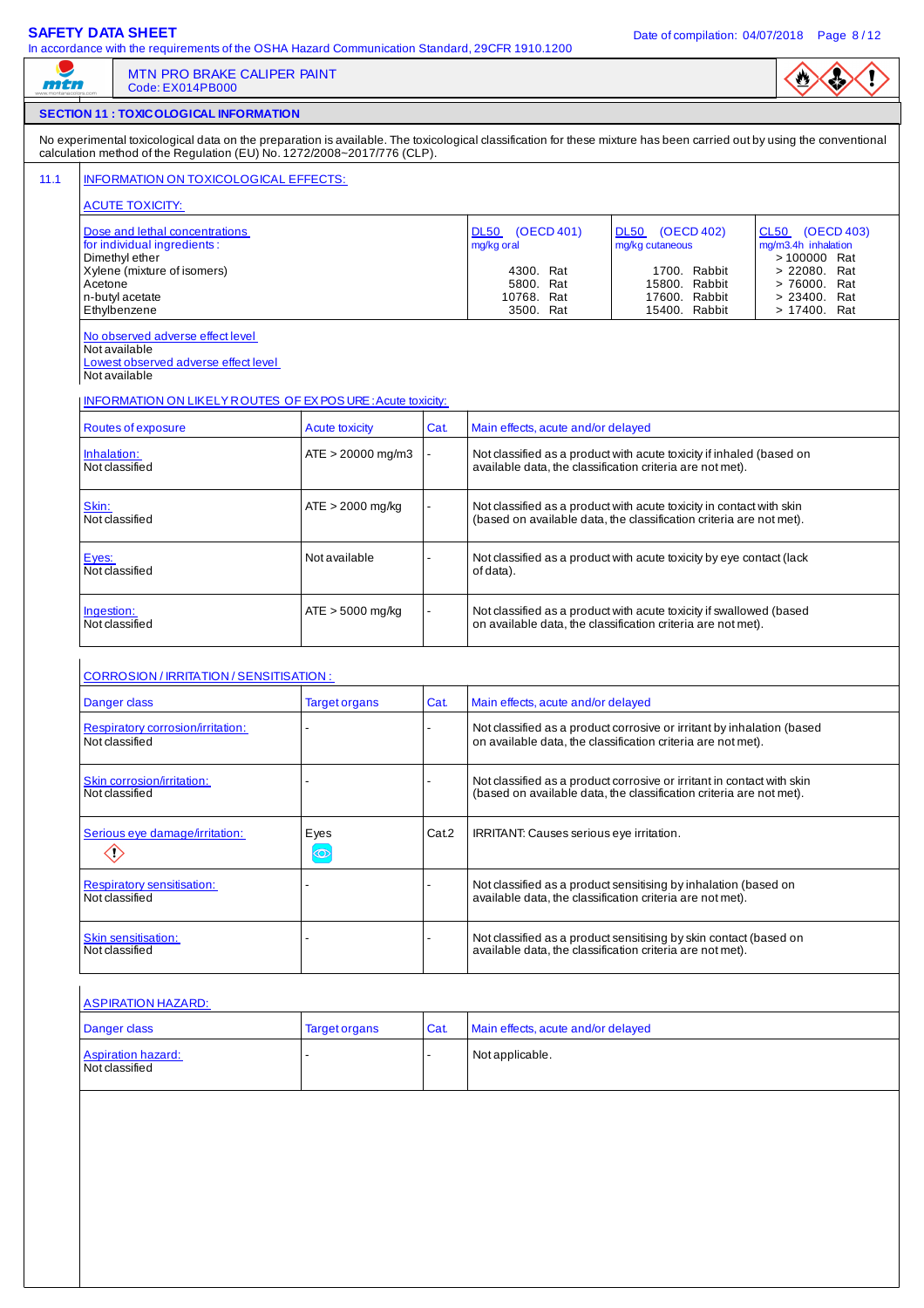$\sqrt{2}$ 

|--|

|                                                                                                                               | <b>MTN PRO BRAKE CALIPER PAINT</b><br>Code: EX014PB000                                                                                                                                                                                           |                        |                                      |                                                                                                                                               |                                                                                                                                             |                                                                        |  |
|-------------------------------------------------------------------------------------------------------------------------------|--------------------------------------------------------------------------------------------------------------------------------------------------------------------------------------------------------------------------------------------------|------------------------|--------------------------------------|-----------------------------------------------------------------------------------------------------------------------------------------------|---------------------------------------------------------------------------------------------------------------------------------------------|------------------------------------------------------------------------|--|
|                                                                                                                               | <b>SECTION 11 : TOXICOLOGICAL INFORMATION</b>                                                                                                                                                                                                    |                        |                                      |                                                                                                                                               |                                                                                                                                             |                                                                        |  |
|                                                                                                                               | No experimental toxicological data on the preparation is available. The toxicological classification for these mixture has been carried out by using the conventional<br>calculation method of the Regulation (EU) No. 1272/2008~2017/776 (CLP). |                        |                                      |                                                                                                                                               |                                                                                                                                             |                                                                        |  |
|                                                                                                                               | INFORMATION ON TOXICOLOGICAL EFFECTS:                                                                                                                                                                                                            |                        |                                      |                                                                                                                                               |                                                                                                                                             |                                                                        |  |
|                                                                                                                               | <b>ACUTE TOXICITY:</b>                                                                                                                                                                                                                           |                        |                                      |                                                                                                                                               |                                                                                                                                             |                                                                        |  |
|                                                                                                                               | Dose and lethal concentrations<br>for individual ingredients:<br>Dimethyl ether<br>Xylene (mixture of isomers)                                                                                                                                   |                        |                                      | <b>DL50</b><br>(OECD 401)<br>mg/kg oral<br>4300. Rat                                                                                          | DL50 (OECD 402)<br>mg/kg cutaneous<br>1700. Rabbit                                                                                          | CL50 (OECD 403)<br>mg/m3.4h inhalation<br>> 100000 Rat<br>> 22080. Rat |  |
|                                                                                                                               | Acetone<br>n-butyl acetate<br>Ethylbenzene                                                                                                                                                                                                       |                        | 5800. Rat<br>10768. Rat<br>3500. Rat | 15800. Rabbit<br>17600. Rabbit<br>15400. Rabbit                                                                                               | > 76000. Rat<br>> 23400. Rat<br>> 17400. Rat                                                                                                |                                                                        |  |
|                                                                                                                               | No observed adverse effect level<br>Not available<br>Lowest observed adverse effect level<br>Not available                                                                                                                                       |                        |                                      |                                                                                                                                               |                                                                                                                                             |                                                                        |  |
|                                                                                                                               | <b>INFORMATION ON LIKELY ROUTES OF EX POS URE: Acute toxicity:</b>                                                                                                                                                                               |                        |                                      |                                                                                                                                               |                                                                                                                                             |                                                                        |  |
|                                                                                                                               | Routes of exposure                                                                                                                                                                                                                               | <b>Acute toxicity</b>  | Cat.                                 | Main effects, acute and/or delayed                                                                                                            |                                                                                                                                             |                                                                        |  |
| Inhalation:                                                                                                                   | Not classified                                                                                                                                                                                                                                   | $ATE > 20000$ mg/m3    |                                      |                                                                                                                                               | Not classified as a product with acute toxicity if inhaled (based on<br>available data, the classification criteria are not met).           |                                                                        |  |
| Skin:                                                                                                                         | Not classified                                                                                                                                                                                                                                   | $ATE > 2000$ mg/kg     |                                      |                                                                                                                                               | Not classified as a product with acute toxicity in contact with skin<br>(based on available data, the classification criteria are not met). |                                                                        |  |
| Not available<br>Not classified as a product with acute toxicity by eye contact (lack<br>Eyes:<br>Not classified<br>of data). |                                                                                                                                                                                                                                                  |                        |                                      |                                                                                                                                               |                                                                                                                                             |                                                                        |  |
| Ingestion:                                                                                                                    | Not classified                                                                                                                                                                                                                                   | ATE > 5000 mg/kg       |                                      | Not classified as a product with acute toxicity if swallowed (based<br>on available data, the classification criteria are not met).           |                                                                                                                                             |                                                                        |  |
|                                                                                                                               | <b>CORROSION / IRRITATION / SENSITISATION :</b>                                                                                                                                                                                                  |                        |                                      |                                                                                                                                               |                                                                                                                                             |                                                                        |  |
|                                                                                                                               | Danger class                                                                                                                                                                                                                                     | <b>Target organs</b>   | Cat.                                 | Main effects, acute and/or delayed                                                                                                            |                                                                                                                                             |                                                                        |  |
|                                                                                                                               | Respiratory corrosion/irritation:<br>Not classified                                                                                                                                                                                              |                        |                                      | Not classified as a product corrosive or irritant by inhalation (based<br>on available data, the classification criteria are not met).        |                                                                                                                                             |                                                                        |  |
|                                                                                                                               | Skin corrosion/irritation:<br>Not classified                                                                                                                                                                                                     |                        |                                      | Not classified as a product corrosive or irritant in contact with skin<br>(based on available data, the classification criteria are not met). |                                                                                                                                             |                                                                        |  |
| $\diamondsuit$                                                                                                                | Serious eye damage/irritation:                                                                                                                                                                                                                   | Eyes<br>$\circledcirc$ | Cat.2                                | IRRITANT: Causes serious eye irritation.                                                                                                      |                                                                                                                                             |                                                                        |  |
|                                                                                                                               | <b>Respiratory sensitisation:</b><br>Not classified                                                                                                                                                                                              |                        |                                      |                                                                                                                                               | Not classified as a product sensitising by inhalation (based on<br>available data, the classification criteria are not met).                |                                                                        |  |
|                                                                                                                               | Skin sensitisation:<br>Not classified                                                                                                                                                                                                            |                        |                                      |                                                                                                                                               | Not classified as a product sensitising by skin contact (based on<br>available data, the classification criteria are not met).              |                                                                        |  |
|                                                                                                                               | <b>ASPIRATION HAZARD:</b>                                                                                                                                                                                                                        |                        |                                      |                                                                                                                                               |                                                                                                                                             |                                                                        |  |
|                                                                                                                               | Danger class                                                                                                                                                                                                                                     | Target organs          | Cat.                                 | Main effects, acute and/or delayed                                                                                                            |                                                                                                                                             |                                                                        |  |
|                                                                                                                               | <b>Aspiration hazard:</b><br>Not classified                                                                                                                                                                                                      |                        |                                      | Not applicable.                                                                                                                               |                                                                                                                                             |                                                                        |  |
|                                                                                                                               |                                                                                                                                                                                                                                                  |                        |                                      |                                                                                                                                               |                                                                                                                                             |                                                                        |  |
|                                                                                                                               |                                                                                                                                                                                                                                                  |                        |                                      |                                                                                                                                               |                                                                                                                                             |                                                                        |  |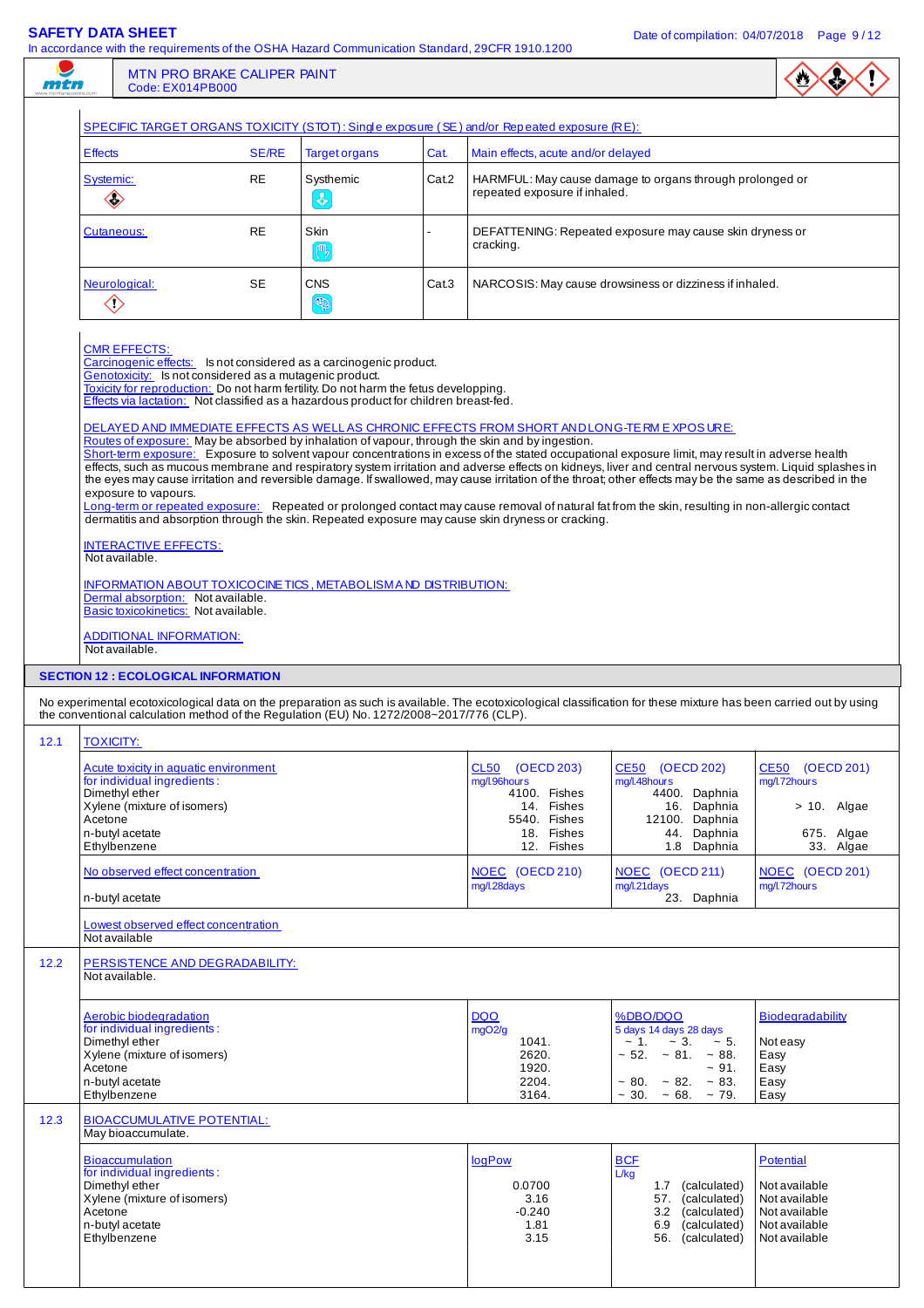**SAFETY DATA SHEET DATA SHEET DATA SHEET Date of compilation: 04/07/2018** Page 9/12

| mtn  | In accordance with the requirements of the OSHA Hazard Communication Standard, 29CFR 1910.1200<br><b>MTN PRO BRAKE CALIPER PAINT</b><br>Code: EX014PB000                                                                                                                                                                                                                                                                                                                                                                                                                                                                                                                                                                                                                                                                                                                                                                                                                                                                                                                                                                                                                                                                                                                                                                                                                                                                                                                                                                                                                                               |              |                                |       |                                                                                                              |                                                                                                                                                                                           |                                                                                                |
|------|--------------------------------------------------------------------------------------------------------------------------------------------------------------------------------------------------------------------------------------------------------------------------------------------------------------------------------------------------------------------------------------------------------------------------------------------------------------------------------------------------------------------------------------------------------------------------------------------------------------------------------------------------------------------------------------------------------------------------------------------------------------------------------------------------------------------------------------------------------------------------------------------------------------------------------------------------------------------------------------------------------------------------------------------------------------------------------------------------------------------------------------------------------------------------------------------------------------------------------------------------------------------------------------------------------------------------------------------------------------------------------------------------------------------------------------------------------------------------------------------------------------------------------------------------------------------------------------------------------|--------------|--------------------------------|-------|--------------------------------------------------------------------------------------------------------------|-------------------------------------------------------------------------------------------------------------------------------------------------------------------------------------------|------------------------------------------------------------------------------------------------|
|      | SPECIFIC TARGET ORGANS TOXICITY (STOT): Single exposure (SE) and/or Repeated exposure (RE):                                                                                                                                                                                                                                                                                                                                                                                                                                                                                                                                                                                                                                                                                                                                                                                                                                                                                                                                                                                                                                                                                                                                                                                                                                                                                                                                                                                                                                                                                                            |              |                                |       |                                                                                                              |                                                                                                                                                                                           |                                                                                                |
|      | <b>Effects</b>                                                                                                                                                                                                                                                                                                                                                                                                                                                                                                                                                                                                                                                                                                                                                                                                                                                                                                                                                                                                                                                                                                                                                                                                                                                                                                                                                                                                                                                                                                                                                                                         | <b>SE/RE</b> | <b>Target organs</b>           | Cat.  | Main effects, acute and/or delayed                                                                           |                                                                                                                                                                                           |                                                                                                |
|      | Systemic:<br>$\color{red}\diamondsuit$                                                                                                                                                                                                                                                                                                                                                                                                                                                                                                                                                                                                                                                                                                                                                                                                                                                                                                                                                                                                                                                                                                                                                                                                                                                                                                                                                                                                                                                                                                                                                                 | <b>RE</b>    | Systhemic<br>$\left( 3\right)$ | Cat.2 | repeated exposure if inhaled.                                                                                | HARMFUL: May cause damage to organs through prolonged or                                                                                                                                  |                                                                                                |
|      | <b>Cutaneous:</b>                                                                                                                                                                                                                                                                                                                                                                                                                                                                                                                                                                                                                                                                                                                                                                                                                                                                                                                                                                                                                                                                                                                                                                                                                                                                                                                                                                                                                                                                                                                                                                                      | <b>RE</b>    | Skin<br>( <sup>m</sup> )       |       | cracking.                                                                                                    | DEFATTENING: Repeated exposure may cause skin dryness or                                                                                                                                  |                                                                                                |
|      | Neurological:<br>$\diamondsuit$                                                                                                                                                                                                                                                                                                                                                                                                                                                                                                                                                                                                                                                                                                                                                                                                                                                                                                                                                                                                                                                                                                                                                                                                                                                                                                                                                                                                                                                                                                                                                                        | SE           | <b>CNS</b><br>S                | Cat.3 |                                                                                                              | NARCOSIS: May cause drowsiness or dizziness if inhaled.                                                                                                                                   |                                                                                                |
|      | <b>CMR EFFECTS:</b><br>Carcinogenic effects: Is not considered as a carcinogenic product.<br>Genotoxicity: Is not considered as a mutagenic product.<br>Toxicity for reproduction: Do not harm fertility. Do not harm the fetus developping.<br>Effects via lactation: Not classified as a hazardous product for children breast-fed.<br>DELAYED AND IMMEDIATE EFFECTS AS WELL AS CHRONIC EFFECTS FROM SHORT AND LONG-TE RM EXPOSURE:<br>Routes of exposure: May be absorbed by inhalation of vapour, through the skin and by ingestion.<br>Short-term exposure: Exposure to solvent vapour concentrations in excess of the stated occupational exposure limit, may result in adverse health<br>effects, such as mucous membrane and respiratory system irritation and adverse effects on kidneys, liver and central nervous system. Liquid splashes in<br>the eyes may cause irritation and reversible damage. If swallowed, may cause irritation of the throat; other effects may be the same as described in the<br>exposure to vapours.<br>Long-term or repeated exposure: Repeated or prolonged contact may cause removal of natural fat from the skin, resulting in non-allergic contact<br>dermatitis and absorption through the skin. Repeated exposure may cause skin dryness or cracking.<br><b>INTERACTIVE EFFECTS:</b><br>Not available.<br>INFORMATION ABOUT TOXICOCINE TICS, METABOLISM AND DISTRIBUTION:<br>Dermal absorption: Not available.<br>Basic toxicokinetics: Not available.<br><b>ADDITIONAL INFORMATION:</b><br>Not available.<br><b>SECTION 12 : ECOLOGICAL INFORMATION</b> |              |                                |       |                                                                                                              |                                                                                                                                                                                           |                                                                                                |
|      | No experimental ecotoxicological data on the preparation as such is available. The ecotoxicological classification for these mixture has been carried out by using<br>the conventional calculation method of the Regulation (EU) No. 1272/2008~2017/776 (CLP).                                                                                                                                                                                                                                                                                                                                                                                                                                                                                                                                                                                                                                                                                                                                                                                                                                                                                                                                                                                                                                                                                                                                                                                                                                                                                                                                         |              |                                |       |                                                                                                              |                                                                                                                                                                                           |                                                                                                |
| 12.1 | <b>TOXICITY:</b>                                                                                                                                                                                                                                                                                                                                                                                                                                                                                                                                                                                                                                                                                                                                                                                                                                                                                                                                                                                                                                                                                                                                                                                                                                                                                                                                                                                                                                                                                                                                                                                       |              |                                |       |                                                                                                              |                                                                                                                                                                                           |                                                                                                |
|      | Acute toxicity in aquatic environment<br>for individual ingredients:<br>Dimethyl ether<br>Xylene (mixture of isomers)<br>Acetone<br>n-butyl acetate<br>Ethylbenzene                                                                                                                                                                                                                                                                                                                                                                                                                                                                                                                                                                                                                                                                                                                                                                                                                                                                                                                                                                                                                                                                                                                                                                                                                                                                                                                                                                                                                                    |              |                                |       | CL50<br>(OECD 203)<br>mg/l.96hours<br>4100. Fishes<br>14. Fishes<br>5540. Fishes<br>18. Fishes<br>12. Fishes | CE50 (OECD 202)<br>mg/l.48hours<br>4400. Daphnia<br>16. Daphnia<br>12100. Daphnia<br>44. Daphnia<br>1.8 Daphnia                                                                           | <b>CE50</b><br>(OECD 201)<br>mg/l.72hours<br>$> 10$ . Algae<br>675. Algae<br>33. Algae         |
|      | No observed effect concentration<br>n-butyl acetate                                                                                                                                                                                                                                                                                                                                                                                                                                                                                                                                                                                                                                                                                                                                                                                                                                                                                                                                                                                                                                                                                                                                                                                                                                                                                                                                                                                                                                                                                                                                                    |              |                                |       | NOEC (OECD 210)<br>mg/l.28days                                                                               | NOEC (OECD 211)<br>mg/l.21days<br>23. Daphnia                                                                                                                                             | NOEC (OECD 201)<br>mg/l.72hours                                                                |
|      | Lowest observed effect concentration<br>Not available                                                                                                                                                                                                                                                                                                                                                                                                                                                                                                                                                                                                                                                                                                                                                                                                                                                                                                                                                                                                                                                                                                                                                                                                                                                                                                                                                                                                                                                                                                                                                  |              |                                |       |                                                                                                              |                                                                                                                                                                                           |                                                                                                |
| 12.2 | PERSISTENCE AND DEGRADABILITY:<br>Not available.                                                                                                                                                                                                                                                                                                                                                                                                                                                                                                                                                                                                                                                                                                                                                                                                                                                                                                                                                                                                                                                                                                                                                                                                                                                                                                                                                                                                                                                                                                                                                       |              |                                |       |                                                                                                              |                                                                                                                                                                                           |                                                                                                |
|      | Aerobic biodegradation<br>for individual ingredients:<br>Dimethyl ether<br>Xylene (mixture of isomers)<br>Acetone<br>n-butyl acetate<br>Ethylbenzene                                                                                                                                                                                                                                                                                                                                                                                                                                                                                                                                                                                                                                                                                                                                                                                                                                                                                                                                                                                                                                                                                                                                                                                                                                                                                                                                                                                                                                                   |              |                                |       | <b>DQO</b><br>mgO2/g<br>1041.<br>2620.<br>1920.<br>2204.<br>3164.                                            | %DBO/DQO<br>5 days 14 days 28 days<br>$\sim$ 1.<br>$~1$ - 5.<br>$\sim$ 3.<br>$\sim$ 52. $\sim$ 81. $\sim$ 88.<br>~1.4<br>$\sim 80. \sim 82. \sim 83.$<br>$\sim$ 30. $\sim$ 68. $\sim$ 79. | <b>Biodegradability</b><br>Not easy<br>Easy<br>Easy<br>Easy<br>Easy                            |
| 12.3 | <b>BIOACCUMULATIVE POTENTIAL:</b><br>May bioaccumulate.<br><b>Bioaccumulation</b><br>for individual ingredients:<br>Dimethyl ether<br>Xylene (mixture of isomers)<br>Acetone<br>n-butyl acetate<br>Ethylbenzene                                                                                                                                                                                                                                                                                                                                                                                                                                                                                                                                                                                                                                                                                                                                                                                                                                                                                                                                                                                                                                                                                                                                                                                                                                                                                                                                                                                        |              |                                |       | <b>logPow</b><br>0.0700<br>3.16<br>$-0.240$<br>1.81<br>3.15                                                  | <b>BCF</b><br>L/kg<br>(calculated)<br>1.7<br>57.<br>(calculated)<br>(calculated)<br>3.2<br>6.9<br>(calculated)<br>56. (calculated)                                                        | Potential<br>Not available<br>Not available<br>Not available<br>Not available<br>Not available |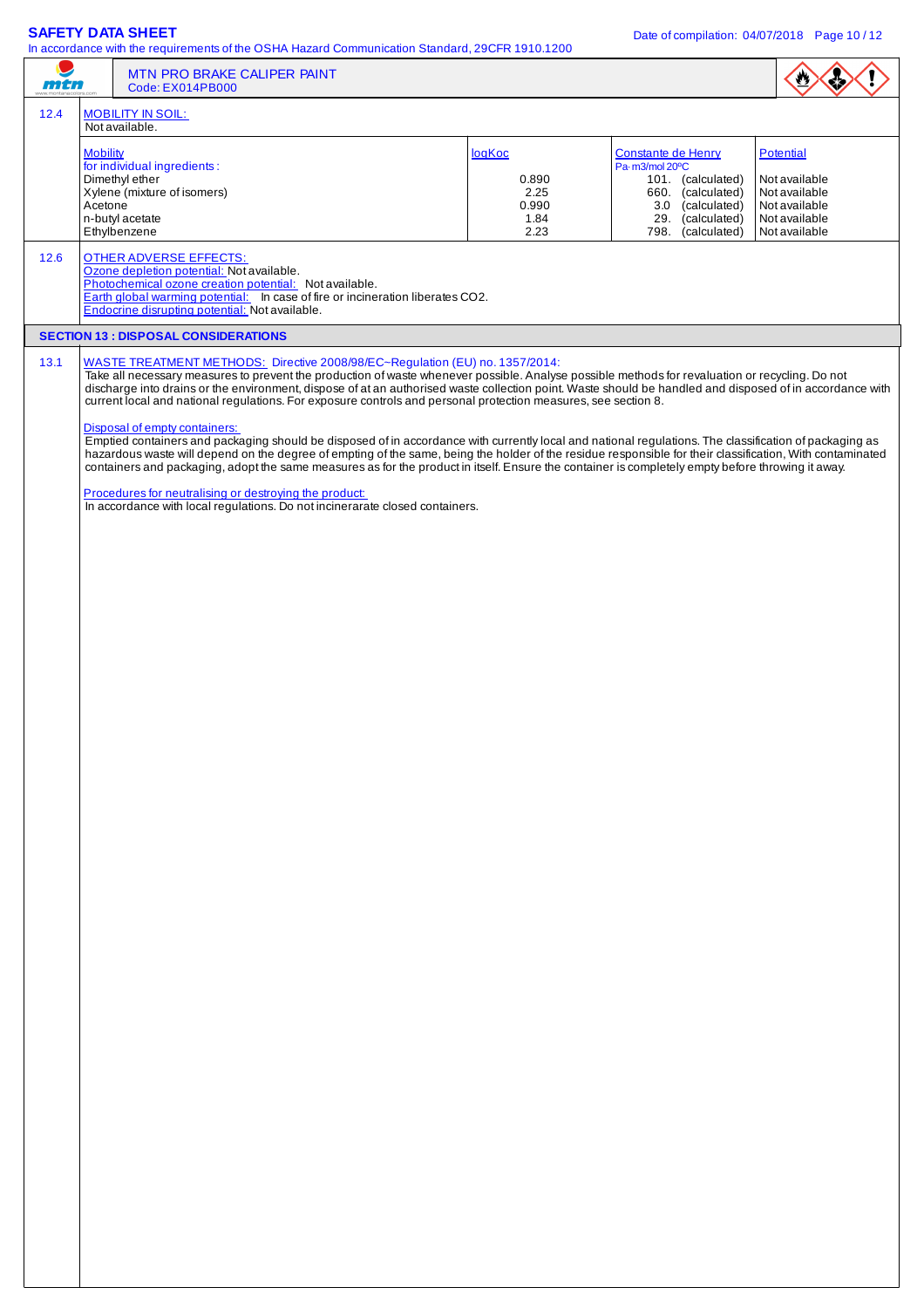$\frac{1}{10}$  act the OSHA Hazard Communication Standard, 29CFR 1910.12000

| mtn  |                            | in accordance with the requirements of the OSHA Hazard Communication Standard, 29CFN 1910.1200<br>MTN PRO BRAKE CALIPER PAINT<br>Code: EX014PB000                                                                                                                                                                                                                                                                                                                                                                                                                                                                                                                                                                                                                                                                                                                     |                                                  |                                                                                                                                             |                                                                                                       |
|------|----------------------------|-----------------------------------------------------------------------------------------------------------------------------------------------------------------------------------------------------------------------------------------------------------------------------------------------------------------------------------------------------------------------------------------------------------------------------------------------------------------------------------------------------------------------------------------------------------------------------------------------------------------------------------------------------------------------------------------------------------------------------------------------------------------------------------------------------------------------------------------------------------------------|--------------------------------------------------|---------------------------------------------------------------------------------------------------------------------------------------------|-------------------------------------------------------------------------------------------------------|
| 12.4 |                            | <b>MOBILITY IN SOIL:</b><br>Not available.                                                                                                                                                                                                                                                                                                                                                                                                                                                                                                                                                                                                                                                                                                                                                                                                                            |                                                  |                                                                                                                                             |                                                                                                       |
|      | <b>Mobility</b><br>Acetone | for individual ingredients:<br>Dimethyl ether<br>Xylene (mixture of isomers)<br>n-butyl acetate<br>Ethylbenzene                                                                                                                                                                                                                                                                                                                                                                                                                                                                                                                                                                                                                                                                                                                                                       | logKoc<br>0.890<br>2.25<br>0.990<br>1.84<br>2.23 | Constante de Henry<br>Pa-m3/mol 20°C<br>101. (calculated)<br>660. (calculated)<br>3.0 (calculated)<br>29. (calculated)<br>798. (calculated) | <b>Potential</b><br>Not available<br>Not available<br>Not available<br>Not available<br>Not available |
| 12.6 |                            | <b>OTHER ADVERSE EFFECTS:</b><br>Ozone depletion potential: Not available.<br>Photochemical ozone creation potential: Not available.<br>Earth global warming potential: In case of fire or incineration liberates CO2.<br>Endocrine disrupting potential: Not available.                                                                                                                                                                                                                                                                                                                                                                                                                                                                                                                                                                                              |                                                  |                                                                                                                                             |                                                                                                       |
|      |                            | <b>SECTION 13 : DISPOSAL CONSIDERATIONS</b>                                                                                                                                                                                                                                                                                                                                                                                                                                                                                                                                                                                                                                                                                                                                                                                                                           |                                                  |                                                                                                                                             |                                                                                                       |
| 13.1 |                            | WASTE TREATMENT METHODS: Directive 2008/98/EC~Regulation (EU) no. 1357/2014:<br>Take all necessary measures to prevent the production of waste whenever possible. Analyse possible methods for revaluation or recycling. Do not<br>discharge into drains or the environment, dispose of at an authorised waste collection point. Waste should be handled and disposed of in accordance with<br>current local and national regulations. For exposure controls and personal protection measures, see section 8.<br>Disposal of empty containers:<br>Emptied containers and packaging should be disposed of in accordance with currently local and national regulations. The classification of packaging as<br>hazardous waste will depend on the degree of empting of the same, being the holder of the residue responsible for their classification, With contaminated |                                                  |                                                                                                                                             |                                                                                                       |
|      |                            | containers and packaging, adopt the same measures as for the product in itself. Ensure the container is completely empty before throwing it away.<br>Procedures for neutralising or destroying the product:<br>In accordance with local regulations. Do not incinerarate closed containers.                                                                                                                                                                                                                                                                                                                                                                                                                                                                                                                                                                           |                                                  |                                                                                                                                             |                                                                                                       |
|      |                            |                                                                                                                                                                                                                                                                                                                                                                                                                                                                                                                                                                                                                                                                                                                                                                                                                                                                       |                                                  |                                                                                                                                             |                                                                                                       |
|      |                            |                                                                                                                                                                                                                                                                                                                                                                                                                                                                                                                                                                                                                                                                                                                                                                                                                                                                       |                                                  |                                                                                                                                             |                                                                                                       |
|      |                            |                                                                                                                                                                                                                                                                                                                                                                                                                                                                                                                                                                                                                                                                                                                                                                                                                                                                       |                                                  |                                                                                                                                             |                                                                                                       |
|      |                            |                                                                                                                                                                                                                                                                                                                                                                                                                                                                                                                                                                                                                                                                                                                                                                                                                                                                       |                                                  |                                                                                                                                             |                                                                                                       |
|      |                            |                                                                                                                                                                                                                                                                                                                                                                                                                                                                                                                                                                                                                                                                                                                                                                                                                                                                       |                                                  |                                                                                                                                             |                                                                                                       |
|      |                            |                                                                                                                                                                                                                                                                                                                                                                                                                                                                                                                                                                                                                                                                                                                                                                                                                                                                       |                                                  |                                                                                                                                             |                                                                                                       |
|      |                            |                                                                                                                                                                                                                                                                                                                                                                                                                                                                                                                                                                                                                                                                                                                                                                                                                                                                       |                                                  |                                                                                                                                             |                                                                                                       |
|      |                            |                                                                                                                                                                                                                                                                                                                                                                                                                                                                                                                                                                                                                                                                                                                                                                                                                                                                       |                                                  |                                                                                                                                             |                                                                                                       |
|      |                            |                                                                                                                                                                                                                                                                                                                                                                                                                                                                                                                                                                                                                                                                                                                                                                                                                                                                       |                                                  |                                                                                                                                             |                                                                                                       |
|      |                            |                                                                                                                                                                                                                                                                                                                                                                                                                                                                                                                                                                                                                                                                                                                                                                                                                                                                       |                                                  |                                                                                                                                             |                                                                                                       |
|      |                            |                                                                                                                                                                                                                                                                                                                                                                                                                                                                                                                                                                                                                                                                                                                                                                                                                                                                       |                                                  |                                                                                                                                             |                                                                                                       |
|      |                            |                                                                                                                                                                                                                                                                                                                                                                                                                                                                                                                                                                                                                                                                                                                                                                                                                                                                       |                                                  |                                                                                                                                             |                                                                                                       |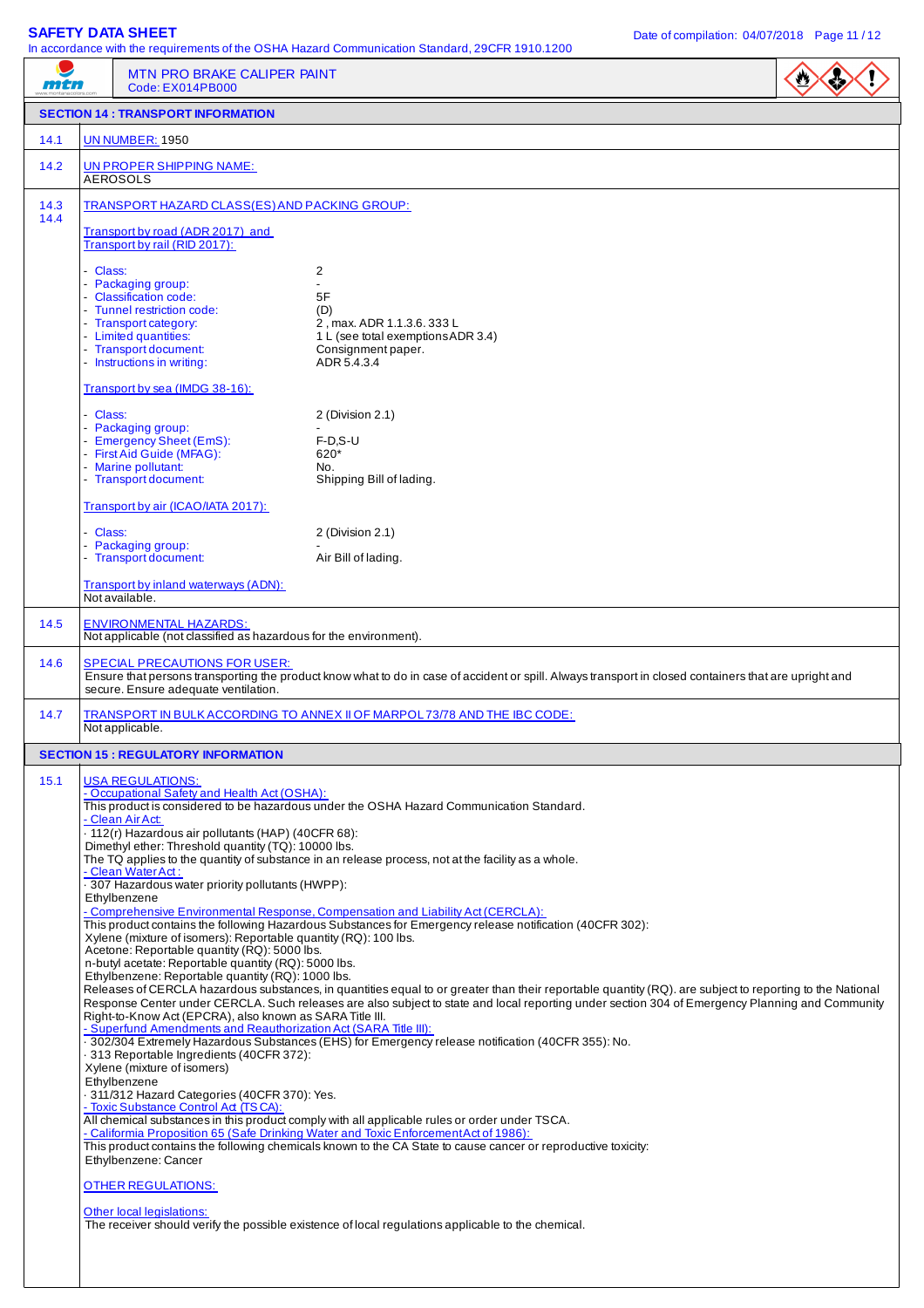| mtn          | MTN PRO BRAKE CALIPER PAINT<br>Code: EX014PB000                                                                                                                                                                                                                                                                                                                                                                                                                                                                                                                                                                                                                                                                                                                                                                                                                                                                                | In accordance with the requirements of the OSHA Hazard Communication Standard, 29CFR 1910.1200                                                                                                                                                                                                                                                                                                                                                                                                                                                                                                                                                                                                                                                                                                                                                                                                                                                                                                                                                                                                                                                                                                                                      |
|--------------|--------------------------------------------------------------------------------------------------------------------------------------------------------------------------------------------------------------------------------------------------------------------------------------------------------------------------------------------------------------------------------------------------------------------------------------------------------------------------------------------------------------------------------------------------------------------------------------------------------------------------------------------------------------------------------------------------------------------------------------------------------------------------------------------------------------------------------------------------------------------------------------------------------------------------------|-------------------------------------------------------------------------------------------------------------------------------------------------------------------------------------------------------------------------------------------------------------------------------------------------------------------------------------------------------------------------------------------------------------------------------------------------------------------------------------------------------------------------------------------------------------------------------------------------------------------------------------------------------------------------------------------------------------------------------------------------------------------------------------------------------------------------------------------------------------------------------------------------------------------------------------------------------------------------------------------------------------------------------------------------------------------------------------------------------------------------------------------------------------------------------------------------------------------------------------|
|              | <b>SECTION 14 : TRANSPORT INFORMATION</b>                                                                                                                                                                                                                                                                                                                                                                                                                                                                                                                                                                                                                                                                                                                                                                                                                                                                                      |                                                                                                                                                                                                                                                                                                                                                                                                                                                                                                                                                                                                                                                                                                                                                                                                                                                                                                                                                                                                                                                                                                                                                                                                                                     |
| 14.1         | <b>UN NUMBER: 1950</b>                                                                                                                                                                                                                                                                                                                                                                                                                                                                                                                                                                                                                                                                                                                                                                                                                                                                                                         |                                                                                                                                                                                                                                                                                                                                                                                                                                                                                                                                                                                                                                                                                                                                                                                                                                                                                                                                                                                                                                                                                                                                                                                                                                     |
| 14.2         | <b>UN PROPER SHIPPING NAME:</b><br><b>AEROSOLS</b>                                                                                                                                                                                                                                                                                                                                                                                                                                                                                                                                                                                                                                                                                                                                                                                                                                                                             |                                                                                                                                                                                                                                                                                                                                                                                                                                                                                                                                                                                                                                                                                                                                                                                                                                                                                                                                                                                                                                                                                                                                                                                                                                     |
| 14.3<br>14.4 | TRANSPORT HAZARD CLASS(ES) AND PACKING GROUP:                                                                                                                                                                                                                                                                                                                                                                                                                                                                                                                                                                                                                                                                                                                                                                                                                                                                                  |                                                                                                                                                                                                                                                                                                                                                                                                                                                                                                                                                                                                                                                                                                                                                                                                                                                                                                                                                                                                                                                                                                                                                                                                                                     |
|              | Transport by road (ADR 2017) and<br>Transport by rail (RID 2017):                                                                                                                                                                                                                                                                                                                                                                                                                                                                                                                                                                                                                                                                                                                                                                                                                                                              |                                                                                                                                                                                                                                                                                                                                                                                                                                                                                                                                                                                                                                                                                                                                                                                                                                                                                                                                                                                                                                                                                                                                                                                                                                     |
|              | - Class:<br>- Packaging group:<br>- Classification code:<br>- Tunnel restriction code:<br>- Transport category:<br>- Limited quantities:<br>- Transport document:<br>- Instructions in writing:                                                                                                                                                                                                                                                                                                                                                                                                                                                                                                                                                                                                                                                                                                                                | 2<br>$\overline{a}$<br>5F<br>(D)<br>2, max. ADR 1.1.3.6. 333 L<br>1 L (see total exemptions ADR 3.4)<br>Consignment paper.<br>ADR 5.4.3.4                                                                                                                                                                                                                                                                                                                                                                                                                                                                                                                                                                                                                                                                                                                                                                                                                                                                                                                                                                                                                                                                                           |
|              | Transport by sea (IMDG 38-16):                                                                                                                                                                                                                                                                                                                                                                                                                                                                                                                                                                                                                                                                                                                                                                                                                                                                                                 |                                                                                                                                                                                                                                                                                                                                                                                                                                                                                                                                                                                                                                                                                                                                                                                                                                                                                                                                                                                                                                                                                                                                                                                                                                     |
|              | - Class:<br>- Packaging group:<br>- Emergency Sheet (EmS):<br>- First Aid Guide (MFAG):<br>- Marine pollutant:<br>- Transport document:                                                                                                                                                                                                                                                                                                                                                                                                                                                                                                                                                                                                                                                                                                                                                                                        | 2 (Division 2.1)<br>$F-D.S-U$<br>620*<br>No.<br>Shipping Bill of lading.                                                                                                                                                                                                                                                                                                                                                                                                                                                                                                                                                                                                                                                                                                                                                                                                                                                                                                                                                                                                                                                                                                                                                            |
|              | Transport by air (ICAO/IATA 2017):                                                                                                                                                                                                                                                                                                                                                                                                                                                                                                                                                                                                                                                                                                                                                                                                                                                                                             |                                                                                                                                                                                                                                                                                                                                                                                                                                                                                                                                                                                                                                                                                                                                                                                                                                                                                                                                                                                                                                                                                                                                                                                                                                     |
|              | - Class:<br>- Packaging group:<br>- Transport document:                                                                                                                                                                                                                                                                                                                                                                                                                                                                                                                                                                                                                                                                                                                                                                                                                                                                        | 2 (Division 2.1)<br>Air Bill of lading.                                                                                                                                                                                                                                                                                                                                                                                                                                                                                                                                                                                                                                                                                                                                                                                                                                                                                                                                                                                                                                                                                                                                                                                             |
|              | Transport by inland waterways (ADN):<br>Not available.                                                                                                                                                                                                                                                                                                                                                                                                                                                                                                                                                                                                                                                                                                                                                                                                                                                                         |                                                                                                                                                                                                                                                                                                                                                                                                                                                                                                                                                                                                                                                                                                                                                                                                                                                                                                                                                                                                                                                                                                                                                                                                                                     |
| 14.5         | <b>ENVIRONMENTAL HAZARDS:</b><br>Not applicable (not classified as hazardous for the environment).                                                                                                                                                                                                                                                                                                                                                                                                                                                                                                                                                                                                                                                                                                                                                                                                                             |                                                                                                                                                                                                                                                                                                                                                                                                                                                                                                                                                                                                                                                                                                                                                                                                                                                                                                                                                                                                                                                                                                                                                                                                                                     |
| 14.6         | <b>SPECIAL PRECAUTIONS FOR USER:</b><br>secure. Ensure adequate ventilation.                                                                                                                                                                                                                                                                                                                                                                                                                                                                                                                                                                                                                                                                                                                                                                                                                                                   | Ensure that persons transporting the product know what to do in case of accident or spill. Always transport in closed containers that are upright and                                                                                                                                                                                                                                                                                                                                                                                                                                                                                                                                                                                                                                                                                                                                                                                                                                                                                                                                                                                                                                                                               |
| 14.7         | Not applicable.                                                                                                                                                                                                                                                                                                                                                                                                                                                                                                                                                                                                                                                                                                                                                                                                                                                                                                                | TRANSPORT IN BULK ACCORDING TO ANNEX II OF MARPOL 73/78 AND THE IBC CODE:                                                                                                                                                                                                                                                                                                                                                                                                                                                                                                                                                                                                                                                                                                                                                                                                                                                                                                                                                                                                                                                                                                                                                           |
|              | <b>SECTION 15 : REGULATORY INFORMATION</b>                                                                                                                                                                                                                                                                                                                                                                                                                                                                                                                                                                                                                                                                                                                                                                                                                                                                                     |                                                                                                                                                                                                                                                                                                                                                                                                                                                                                                                                                                                                                                                                                                                                                                                                                                                                                                                                                                                                                                                                                                                                                                                                                                     |
| 15.1         | <b>USA REGULATIONS:</b><br>- Occupational Safety and Health Act (OSHA):<br>- Clean Air Act:<br>- 112(r) Hazardous air pollutants (HAP) (40CFR 68):<br>Dimethyl ether: Threshold quantity (TQ): 10000 lbs.<br>- Clean Water Act:<br>307 Hazardous water priority pollutants (HWPP):<br>Ethylbenzene<br>Xylene (mixture of isomers): Reportable quantity (RQ): 100 lbs.<br>Acetone: Reportable quantity (RQ): 5000 lbs.<br>n-butyl acetate: Reportable quantity (RQ): 5000 lbs.<br>Ethylbenzene: Reportable quantity (RQ): 1000 lbs.<br>Right-to-Know Act (EPCRA), also known as SARA Title III.<br>- Superfund Amendments and Reauthorization Act (SARA Title III):<br>313 Reportable Ingredients (40CFR 372):<br>Xylene (mixture of isomers)<br>Ethylbenzene<br>311/312 Hazard Categories (40CFR 370): Yes.<br>- Toxic Substance Control Ad (TSCA):<br>Ethylbenzene: Cancer<br>OTHER REGULATIONS:<br>Other local legislations: | This product is considered to be hazardous under the OSHA Hazard Communication Standard.<br>The TQ applies to the quantity of substance in an release process, not at the facility as a whole.<br>- Comprehensive Environmental Response, Compensation and Liability Act (CERCLA):<br>This product contains the following Hazardous Substances for Emergency release notification (40CFR 302):<br>Releases of CERCLA hazardous substances, in quantities equal to or greater than their reportable quantity (RQ). are subject to reporting to the National<br>Response Center under CERCLA. Such releases are also subject to state and local reporting under section 304 of Emergency Planning and Community<br>. 302/304 Extremely Hazardous Substances (EHS) for Emergency release notification (40CFR 355): No.<br>All chemical substances in this product comply with all applicable rules or order under TSCA.<br>- Califormia Proposition 65 (Safe Drinking Water and Toxic Enforcement Act of 1986):<br>This product contains the following chemicals known to the CA State to cause cancer or reproductive toxicity:<br>The receiver should verify the possible existence of local regulations applicable to the chemical. |